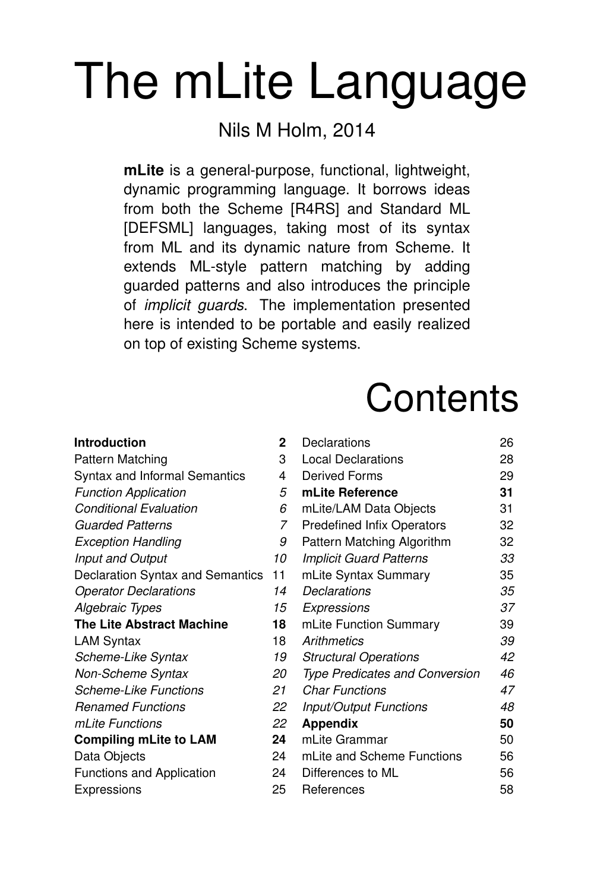# The mLite Language

#### Nils M Holm, 2014

mLite is a general-purpose, functional, lightweight, dynamic programming language. It borrows ideas from both the Scheme [R4RS] and Standard ML [DEFSML] languages, taking most of its syntax from ML and its dynamic nature from Scheme. It extends ML-style pattern matching by adding guarded patterns and also introduces the principle of implicit guards. The implementation presented here is intended to be portable and easily realized on top of existing Scheme systems.

## **Contents**

| Introduction                     | $\mathbf{2}$ | Declarations                          | 26 |
|----------------------------------|--------------|---------------------------------------|----|
| Pattern Matching                 | 3            | Local Declarations                    | 28 |
| Syntax and Informal Semantics    | 4            | Derived Forms                         | 29 |
| <b>Function Application</b>      | 5            | mLite Reference                       | 31 |
| <b>Conditional Evaluation</b>    | 6            | mLite/LAM Data Objects                | 31 |
| <b>Guarded Patterns</b>          | 7            | <b>Predefined Infix Operators</b>     | 32 |
| <b>Exception Handling</b>        | 9            | Pattern Matching Algorithm            | 32 |
| Input and Output                 | 10           | <b>Implicit Guard Patterns</b>        | 33 |
| Declaration Syntax and Semantics | 11           | mLite Syntax Summary                  | 35 |
| <b>Operator Declarations</b>     | 14           | Declarations                          | 35 |
| Algebraic Types                  | 15           | Expressions                           | 37 |
| The Lite Abstract Machine        | 18           | mLite Function Summary                | 39 |
| LAM Syntax                       | 18           | Arithmetics                           | 39 |
| Scheme-Like Syntax               | 19           | <b>Structural Operations</b>          | 42 |
| Non-Scheme Syntax                | 20           | <b>Type Predicates and Conversion</b> | 46 |
| <b>Scheme-Like Functions</b>     | 21           | <b>Char Functions</b>                 | 47 |
| <b>Renamed Functions</b>         | 22           | <b>Input/Output Functions</b>         | 48 |
| mLite Functions                  | 22           | <b>Appendix</b>                       | 50 |
| <b>Compiling mLite to LAM</b>    | 24           | mLite Grammar                         | 50 |
| Data Objects                     | 24           | mLite and Scheme Functions            | 56 |
| Functions and Application        | 24           | Differences to ML                     | 56 |
| Expressions                      | 25           | References                            | 58 |
|                                  |              |                                       |    |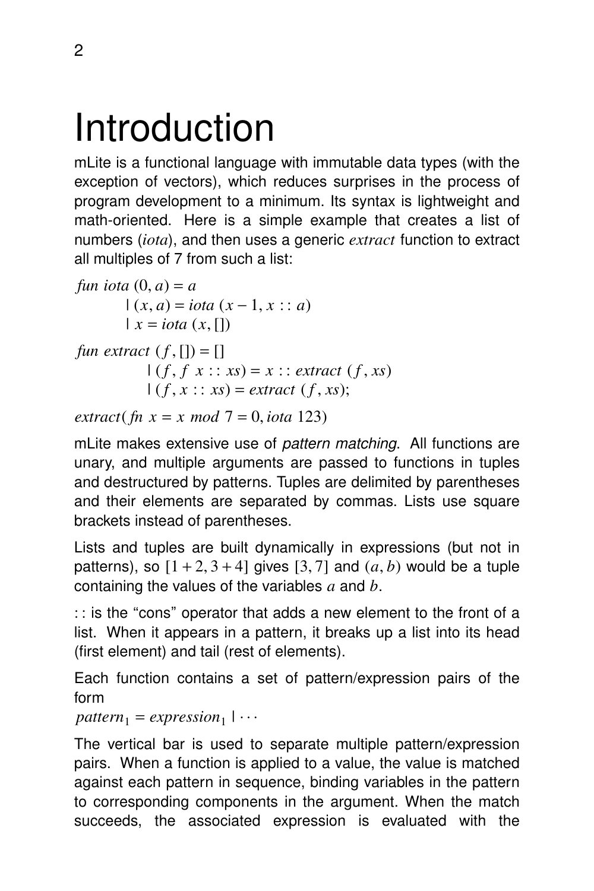## Introduction

mLite is a functional language with immutable data types (with the exception of vectors), which reduces surprises in the process of program development to a minimum. Its syntax is lightweight and math-oriented. Here is a simple example that creates a list of numbers (*iota*), and then uses a generic *extract* function to extract all multiples of 7 from such a list:

*fun iota*  $(0, a) = a$  $(x, a) = iota(x - 1, x : a)$  $\vert x = iota(x, \vert)$ *fun extract*  $(f, [] = []$  $(f, f x : x s) = x : 0$  *extract*  $(f, xs)$  $(f, x :: xs) = extract (f, xs);$ 

*extract*(*fn x = x mod*  $7 = 0$ *, <i>iota* 123)

mLite makes extensive use of pattern matching. All functions are unary, and multiple arguments are passed to functions in tuples and destructured by patterns. Tuples are delimited by parentheses and their elements are separated by commas. Lists use square brackets instead of parentheses.

Lists and tuples are built dynamically in expressions (but not in patterns), so  $[1 + 2, 3 + 4]$  gives  $[3, 7]$  and  $(a, b)$  would be a tuple containing the values of the variables *a* and *b*.

: : is the ''cons'' operator that adds a new element to the front of a list. When it appears in a pattern, it breaks up a list into its head (first element) and tail (rest of elements).

Each function contains a set of pattern/expression pairs of the form

```
pattern_1 = expression_1 | \dots|
```
The vertical bar is used to separate multiple pattern/expression pairs. When a function is applied to a value, the value is matched against each pattern in sequence, binding variables in the pattern to corresponding components in the argument. When the match succeeds, the associated expression is evaluated with the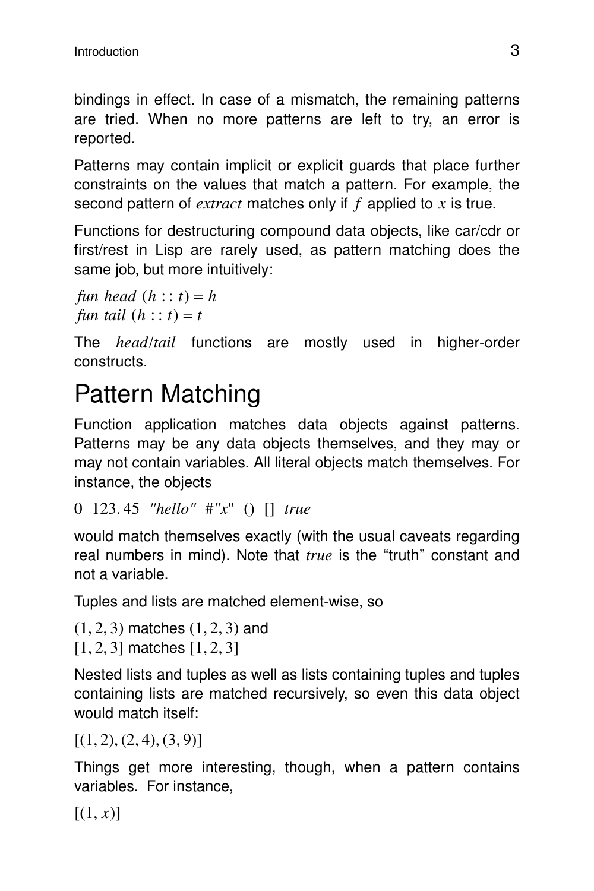bindings in effect. In case of a mismatch, the remaining patterns are tried. When no more patterns are left to try, an error is reported.

Patterns may contain implicit or explicit quards that place further constraints on the values that match a pattern. For example, the second pattern of *extract* matches only if *f* applied to *x* is true.

Functions for destructuring compound data objects, like car/cdr or first/rest in Lisp are rarely used, as pattern matching does the same job, but more intuitively:

*fun head*  $(h : t) = h$ *fun tail*  $(h : t) = t$ 

The *head*/*tail* functions are mostly used in higher-order constructs.

## Pattern Matching

Function application matches data objects against patterns. Patterns may be any data objects themselves, and they may or may not contain variables. All literal objects match themselves. For instance, the objects

```
0 123. 45 "hello" #"x" () [] true
```
would match themselves exactly (with the usual caveats regarding real numbers in mind). Note that *true* is the "truth" constant and not a variable.

Tuples and lists are matched element-wise, so

```
(1, 2, 3) matches (1, 2, 3) and
[1, 2, 3] matches [1, 2, 3]
```
Nested lists and tuples as well as lists containing tuples and tuples containing lists are matched recursively, so even this data object would match itself:

 $[(1, 2), (2, 4), (3, 9)]$ 

Things get more interesting, though, when a pattern contains variables. For instance,

 $[(1, x)]$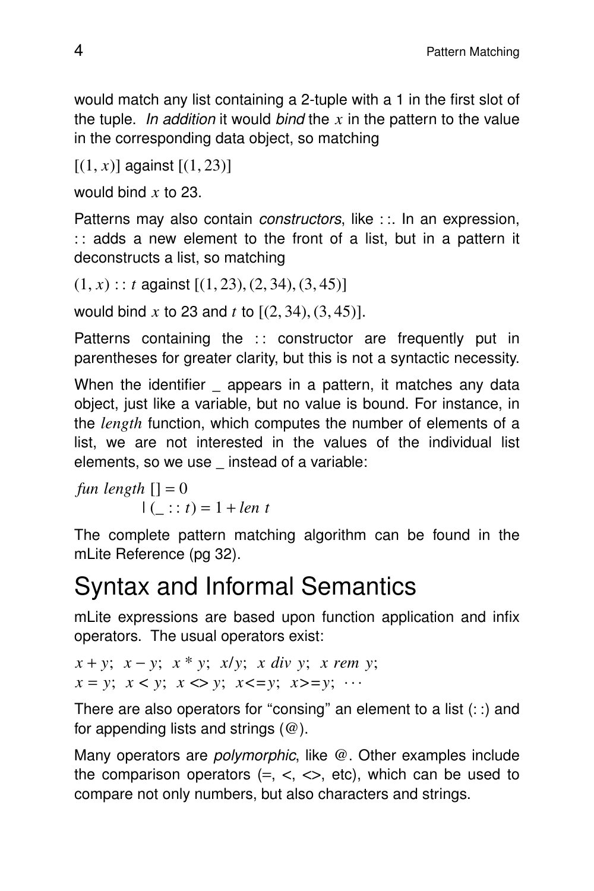would match any list containing a 2-tuple with a 1 in the first slot of the tuple. In addition it would bind the  $x$  in the pattern to the value in the corresponding data object, so matching

 $[(1, x)]$  against  $[(1, 23)]$ 

would bind *x* to 23.

Patterns may also contain *constructors*, like : :. In an expression,  $\therefore$  adds a new element to the front of a list, but in a pattern it deconstructs a list, so matching

 $(1, x)$  : *t* against  $[(1, 23), (2, 34), (3, 45)]$ 

would bind *x* to 23 and *t* to [(2, 34), (3, 45)].

Patterns containing the  $\cdot$ : constructor are frequently put in parentheses for greater clarity, but this is not a syntactic necessity.

When the identifier \_ appears in a pattern, it matches any data object, just like a variable, but no value is bound. For instance, in the *length* function, which computes the number of elements of a list, we are not interested in the values of the individual list elements, so we use instead of a variable:

*fun length*  $[1] = 0$  $| ( : : t) = 1 + len t$ 

The complete pattern matching algorithm can be found in the mLite Reference (pg 32).

## Syntax and Informal Semantics

mLite expressions are based upon function application and infix operators. The usual operators exist:

```
x + y; x − y; x * y; x/y; x div y; x rem y;
x = y; x < y; x < y; x < y; x > y; x > y; ...
```
There are also operators for "consing" an element to a list  $(::)$  and for appending lists and strings  $(\omega)$ .

Many operators are *polymorphic*, like  $@$ . Other examples include the comparison operators  $(=, <, <, etc)$ , which can be used to compare not only numbers, but also characters and strings.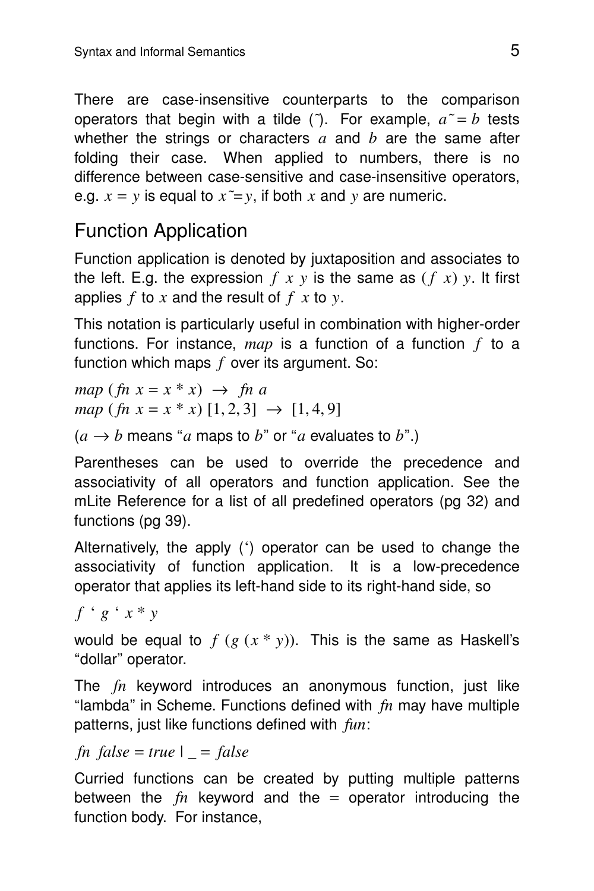There are case-insensitive counterparts to the comparison operators that begin with a tilde ( $\tilde{ }$ ). For example,  $a^{\tilde{ } } = b$  tests whether the strings or characters *a* and *b* are the same after folding their case. When applied to numbers, there is no difference between case-sensitive and case-insensitive operators, e.g.  $x = y$  is equal to  $x \tilde{=} y$ , if both x and y are numeric.

#### Function Application

Function application is denoted by juxtaposition and associates to the left. E.g. the expression  $f(x, y)$  is the same as  $(f(x), y)$ . It first applies *f* to *x* and the result of *f x* to *y*.

This notation is particularly useful in combination with higher-order functions. For instance, *map* is a function of a function *f* to a function which maps *f* over its argument. So:

*map* ( $\ln x = x * x$ )  $\rightarrow \ln a$  $map (fn x = x * x) [1, 2, 3] \rightarrow [1, 4, 9]$ 

 $(a \rightarrow b$  means "*a* maps to *b*" or "*a* evaluates to *b*".)

Parentheses can be used to override the precedence and associativity of all operators and function application. See the mLite Reference for a list of all predefined operators (pg 32) and functions (pg 39).

Alternatively, the apply  $(')$  operator can be used to change the associativity of function application. It is a low-precedence operator that applies its left-hand side to its right-hand side, so

*f* ' *g* ' *x* \* *y*

would be equal to  $f(g(x * y))$ . This is the same as Haskell's "dollar" operator.

The *fn* keyword introduces an anonymous function, just like ''lambda'' in Scheme. Functions defined with *fn* may have multiple patterns, just like functions defined with *fun*:

#### $fn$   $false = true$  |  $= false$

Curried functions can be created by putting multiple patterns between the  $fn$  keyword and the  $=$  operator introducing the function body. For instance,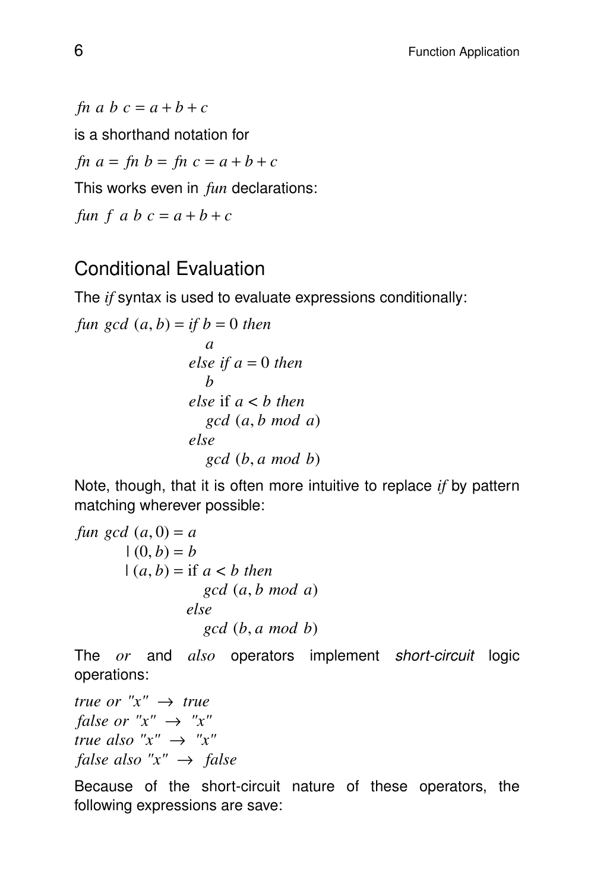*fn*  $a$   $b$   $c$  =  $a$  +  $b$  +  $c$ is a shorthand notation for *fn*  $a = fh b = fn c = a + b + c$ This works even in *fun* declarations: *fun*  $f$   $a$   $b$   $c$  =  $a$  +  $b$  +  $c$ 

#### Conditional Evaluation

The *if* syntax is used to evaluate expressions conditionally:

function 
$$
gcd(a, b) = if b = 0
$$
 then

\nelse if  $a = 0$  then

\nelse if  $a < b$  then

\nelse if  $a < b$  then

\nelse

\ngcd  $(b, a \mod b)$ 

Note, though, that it is often more intuitive to replace *if* by pattern matching wherever possible:

fun gcd (a, 0) = a

\n
$$
|(0, b) = b
$$
\n
$$
|(a, b) = \text{if } a < b \text{ then}
$$
\n
$$
\text{gcd } (a, b \text{ mod } a)
$$
\n
$$
\text{else}
$$
\n
$$
\text{gcd } (b, a \text{ mod } b)
$$

The *or* and *also* operators implement *short-circuit* logic operations:

*true or*  $''x'' \rightarrow true$ *false or*  $"x" \rightarrow "x"$ *true also*  $"x" \rightarrow "x"$ *false also*  $"x" \rightarrow false$ 

Because of the short-circuit nature of these operators, the following expressions are save: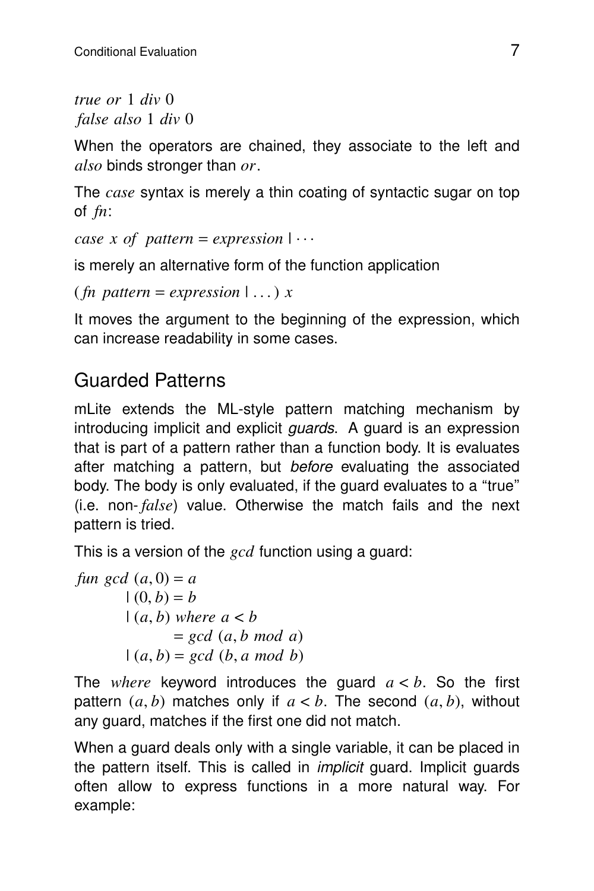*true or* 1 *div* 0 *false also* 1 *div* 0

When the operators are chained, they associate to the left and *also* binds stronger than *or*.

The *case* syntax is merely a thin coating of syntactic sugar on top of *fn*:

*case x of pattern* = *expression*  $|\cdots$ 

is merely an alternative form of the function application

```
(\text{fn pattern} = expression | \dots) x
```
It moves the argument to the beginning of the expression, which can increase readability in some cases.

#### Guarded Patterns

mLite extends the ML-style pattern matching mechanism by introducing implicit and explicit *quards*. A quard is an expression that is part of a pattern rather than a function body. It is evaluates after matching a pattern, but before evaluating the associated body. The body is only evaluated, if the guard evaluates to a "true" (i.e. non- *false*) value. Otherwise the match fails and the next pattern is tried.

This is a version of the *gcd* function using a guard:

*fun*  $gcd(a, 0) = a$  $(0, b) = b$  $(a, b)$  *where*  $a < b$ = *gcd* (*a*, *b mod a*)  $(a, b) = \gcd(b, a \mod b)$ 

The *where* keyword introduces the guard  $a < b$ . So the first pattern  $(a, b)$  matches only if  $a < b$ . The second  $(a, b)$ , without any guard, matches if the first one did not match.

When a guard deals only with a single variable, it can be placed in the pattern itself. This is called in implicit guard. Implicit guards often allow to express functions in a more natural way. For example: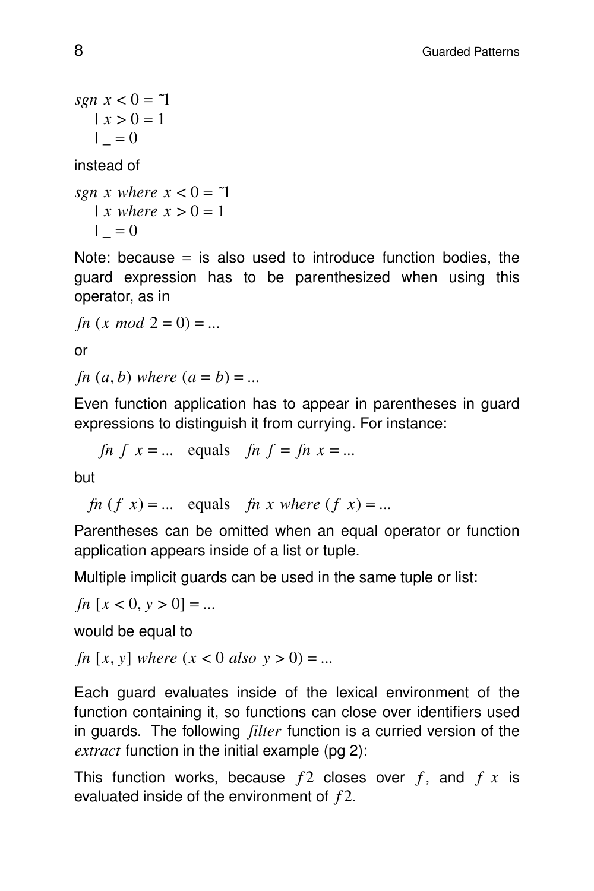*sgn x* <  $0 = 71$  $|x > 0 = 1$  $| = 0$ 

instead of

*sgn x where*  $x < 0 = 7$  $\vert x$  where  $x > 0 = 1$  $| = 0$ 

Note: because  $=$  is also used to introduce function bodies, the guard expression has to be parenthesized when using this operator, as in

*fn*  $(x \mod 2 = 0) = ...$ 

or

*fn*  $(a, b)$  *where*  $(a = b) = ...$ 

Even function application has to appear in parentheses in guard expressions to distinguish it from currying. For instance:

*fn*  $f \times x = ...$  equals *fn*  $f = f \times n \times x = ...$ 

but

*fn*  $(f x) = ...$  equals *fn x where*  $(f x) = ...$ 

Parentheses can be omitted when an equal operator or function application appears inside of a list or tuple.

Multiple implicit guards can be used in the same tuple or list:

```
fn [x < 0, y > 0] = ...
```
would be equal to

*fn* [*x*, *y*] *where* (*x* < 0 *also*  $y > 0$ ) = ...

Each guard evaluates inside of the lexical environment of the function containing it, so functions can close over identifiers used in guards. The following *filter* function is a curried version of the *extract* function in the initial example (pg 2):

This function works, because  $f2$  closes over  $f$ , and  $f x$  is ev aluated inside of the environment of *f* 2.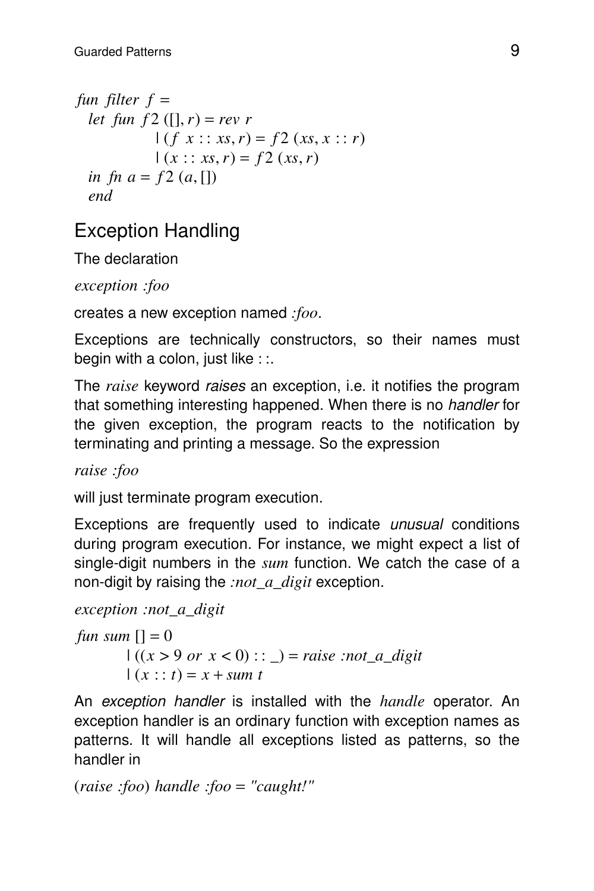*fun filter*  $f =$ *let fun*  $f2([], r) = rev r$  $(f x :: xs, r) = f2 (xs, x :: r)$  $(x :: xs, r) = f2 (xs, r)$ *in fn*  $a = f2(a, []$ *end*

### Exception Handling

The declaration

*exception :foo*

creates a new exception named *:foo*.

Exceptions are technically constructors, so their names must begin with a colon, just like  $\cdots$ 

The *raise* keyword raises an exception, i.e. it notifies the program that something interesting happened. When there is no handler for the given exception, the program reacts to the notification by terminating and printing a message. So the expression

*raise :foo*

will just terminate program execution.

Exceptions are frequently used to indicate *unusual* conditions during program execution. For instance, we might expect a list of single-digit numbers in the *sum* function. We catch the case of a non-digit by raising the *:not\_a\_digit* exception.

```
exception :not_a_digit
```
*fun sum*  $[1] = 0$  $((x > 9 \text{ or } x < 0) : : ) = \text{raise} : \text{not } a \_\text{digit}$  $(x : t) = x + sum t$ 

An exception handler is installed with the *handle* operator. An exception handler is an ordinary function with exception names as patterns. It will handle all exceptions listed as patterns, so the handler in

(*raise :foo*) *handle :foo* = *"caught!"*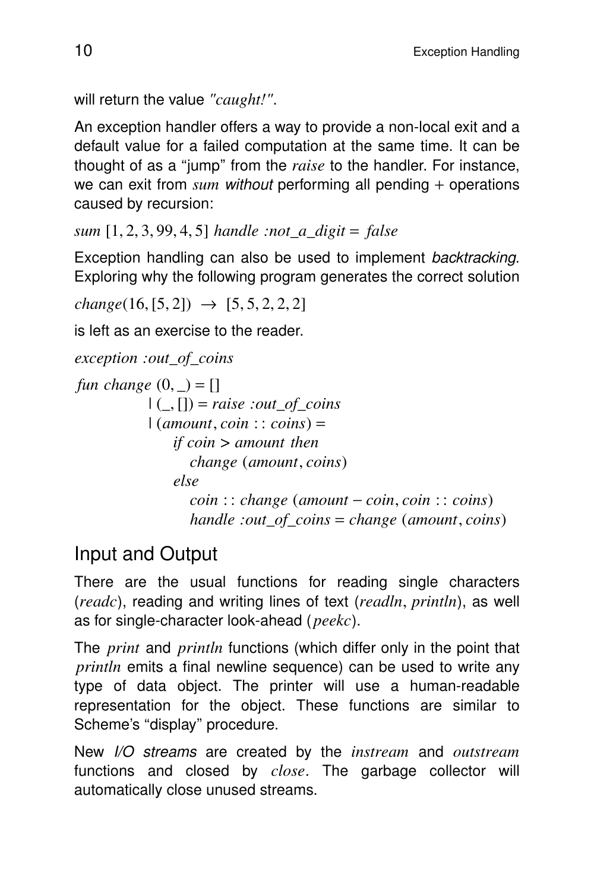```
will return the value "caught!".
```
An exception handler offers a way to provide a non-local exit and a default value for a failed computation at the same time. It can be thought of as a ''jump'' from the *raise* to the handler. For instance, we can exit from *sum* without performing all pending + operations caused by recursion:

*sum* [1, 2, 3, 99, 4, 5] *handle :not\_a\_digit* = *false*

Exception handling can also be used to implement backtracking. Exploring why the following program generates the correct solution

```
change(16, [5, 2]) \rightarrow [5, 5, 2, 2, 2]
```
is left as an exercise to the reader.

```
exception :out_of_coins
fun change (0, ) = []| ( , ] | = raise :out of coins
           \vert (amount, coin : : coins) =
               if coin > amount then
                 change (amount, coins)
               else
                 coin : : change (amount − coin, coin : : coins)
                 handle :out_of_coins = change (amount, coins)
```
#### Input and Output

There are the usual functions for reading single characters (*readc*), reading and writing lines of text (*readln*, *println*), as well as for single-character look-ahead ( *peekc*).

The *print* and *println* functions (which differ only in the point that *println* emits a final newline sequence) can be used to write any type of data object. The printer will use a human-readable representation for the object. These functions are similar to Scheme's "display" procedure.

New I/O streams are created by the *instream* and *outstream* functions and closed by *close*. The garbage collector will automatically close unused streams.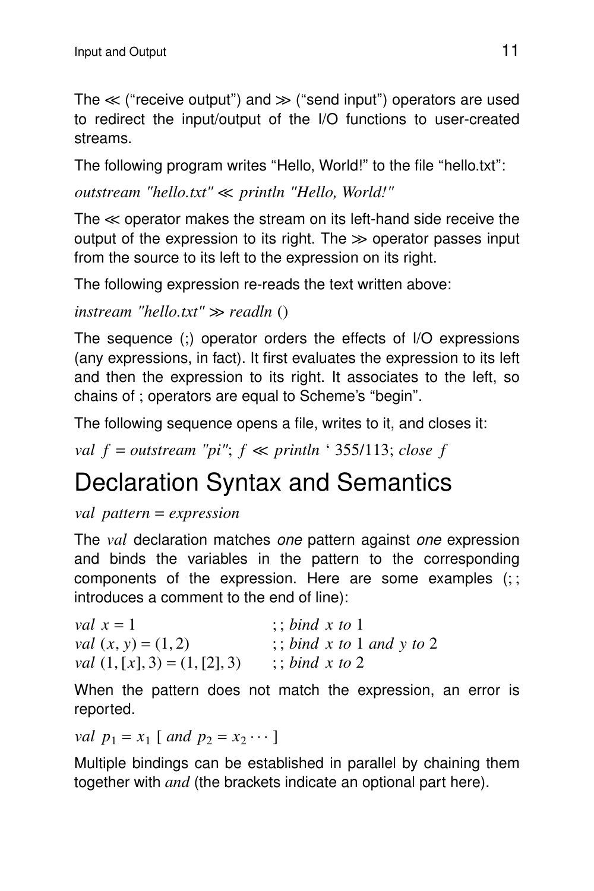The  $\ll$  ("receive output") and  $\gg$  ("send input") operators are used to redirect the input/output of the I/O functions to user-created streams.

The following program writes "Hello, World!" to the file "hello.txt":

*outstream "hello.txt"* << *println "Hello, World!"*

The  $\ll$  operator makes the stream on its left-hand side receive the output of the expression to its right. The  $\gg$  operator passes input from the source to its left to the expression on its right.

The following expression re-reads the text written above:

```
instream "hello.txt" > readln ()
```
The sequence (;) operator orders the effects of I/O expressions (any expressions, in fact). It first evaluates the expression to its left and then the expression to its right. It associates to the left, so chains of ; operators are equal to Scheme's ''begin''.

The following sequence opens a file, writes to it, and closes it:

*val*  $f = outstream$  "*pi*";  $f \ll print$   $\leq$  155/113; *close*  $f$ 

### Declaration Syntax and Semantics

*val pattern* = *expression*

The *val* declaration matches one pattern against one expression and binds the variables in the pattern to the corresponding components of the expression. Here are some examples (; ; introduces a comment to the end of line):

| val $x = 1$                            | $\therefore$ bind x to 1               |
|----------------------------------------|----------------------------------------|
| <i>val</i> $(x, y) = (1, 2)$           | $\frac{1}{2}$ ; bind x to 1 and y to 2 |
| <i>val</i> $(1, [x], 3) = (1, [2], 3)$ | $\therefore$ bind x to 2               |

When the pattern does not match the expression, an error is reported.

*val*  $p_1 = x_1$  [ *and*  $p_2 = x_2 \cdots$  ]

Multiple bindings can be established in parallel by chaining them together with *and* (the brackets indicate an optional part here).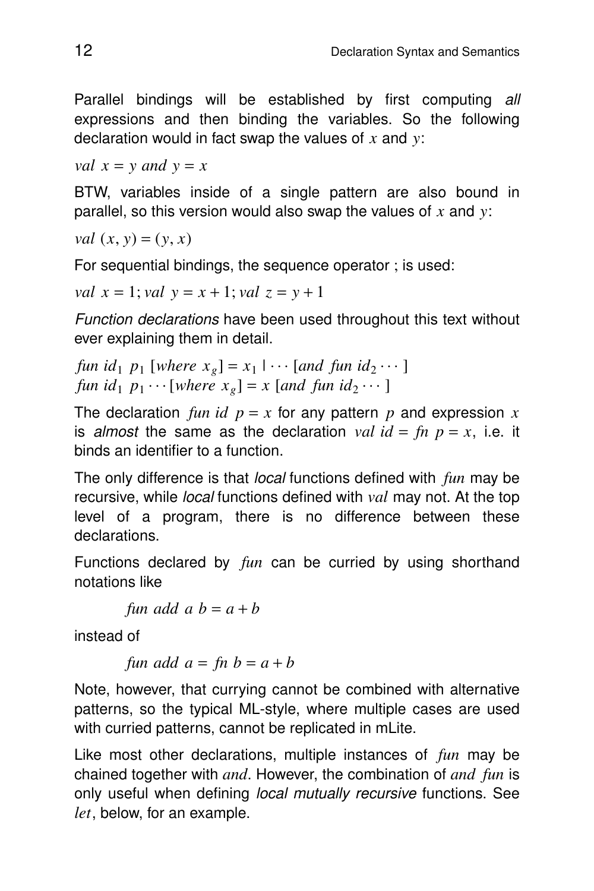Parallel bindings will be established by first computing all expressions and then binding the variables. So the following declaration would in fact swap the values of *x* and *y*:

*val*  $x = y$  *and*  $y = x$ 

BTW, variables inside of a single pattern are also bound in parallel, so this version would also swap the values of *x* and *y*:

*val*  $(x, y) = (y, x)$ 

For sequential bindings, the sequence operator ; is used:

*val*  $x = 1$ ; *val*  $y = x + 1$ ; *val*  $z = y + 1$ 

Function declarations have been used throughout this text without ever explaining them in detail.

```
fun id_1 p_1 [where x_g] = x_1 | \cdots [and fun id_2 \cdots ]
                                   |
fun id_1 p_1 \cdots [where x_g] = x [and fun id_2 \cdots ]
```
The declaration *fun id*  $p = x$  for any pattern p and expression x is almost the same as the declaration *val*  $id = fn$   $p = x$ , i.e. it binds an identifier to a function.

The only difference is that local functions defined with *fun* may be recursive, while local functions defined with *val* may not. At the top level of a program, there is no difference between these declarations.

Functions declared by *fun* can be curried by using shorthand notations like

*fun add*  $a b = a + b$ 

instead of

*fun add*  $a = fh b = a + b$ 

Note, however, that currying cannot be combined with alternative patterns, so the typical ML-style, where multiple cases are used with curried patterns, cannot be replicated in mLite.

Like most other declarations, multiple instances of *fun* may be chained together with *and*. However, the combination of *and fun* is only useful when defining *local mutually recursive* functions. See *let*, below, for an example.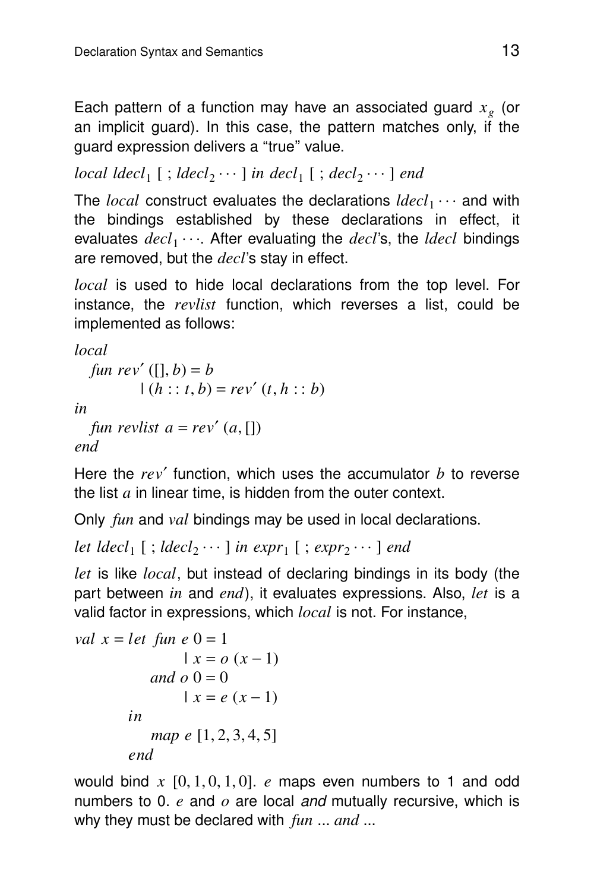Each pattern of a function may have an associated guard *x<sup>g</sup>* (or an implicit guard). In this case, the pattern matches only, if the guard expression delivers a "true" value.

 $local \, \,ldecl_1 \, [ ; \,ldecl_2 \cdots ] \, in \, \, decl_1 \, [ ; \, decl_2 \cdots ] \, \, end$ 

The *local* construct evaluates the declarations  $\textit{ldecl}_1 \cdots$  and with the bindings established by these declarations in effect, it evaluates  $\overline{decl}_1 \cdots$ . After evaluating the  $\overline{decl}$ 's, the *ldecl* bindings are removed, but the *decl*'s stay in effect.

*local* is used to hide local declarations from the top level. For instance, the *revlist* function, which reverses a list, could be implemented as follows:

*local*

```
fun rev' ([, b) = b
       (a : t, b) = rev'(t, h : b)
```
*in*

```
fun revlist a = rev'(a, \Pi)end
```
Here the *re v*′ function, which uses the accumulator *b* to reverse the list *a* in linear time, is hidden from the outer context.

Only *fun* and *val* bindings may be used in local declarations.

```
let ldecl<sub>1</sub> [; ldecl<sub>2</sub> \cdots ] in expr<sub>1</sub> [; expr<sub>2</sub> \cdots ] end
```
*let* is like *local*, but instead of declaring bindings in its body (the part between *in* and *end*), it evaluates expressions. Also, *let* is a valid factor in expressions, which *local* is not. For instance,

```
val x = let fun e 0 = 1|x = o(x - 1)|and o 0 = 0|x = e(x - 1)|in
           map e [1, 2, 3, 4, 5]
        end
```
would bind *x* [0, 1, 0, 1, 0]. *e* maps even numbers to 1 and odd numbers to 0. *e* and *o* are local and mutually recursive, which is why they must be declared with *fun* ... *and* ...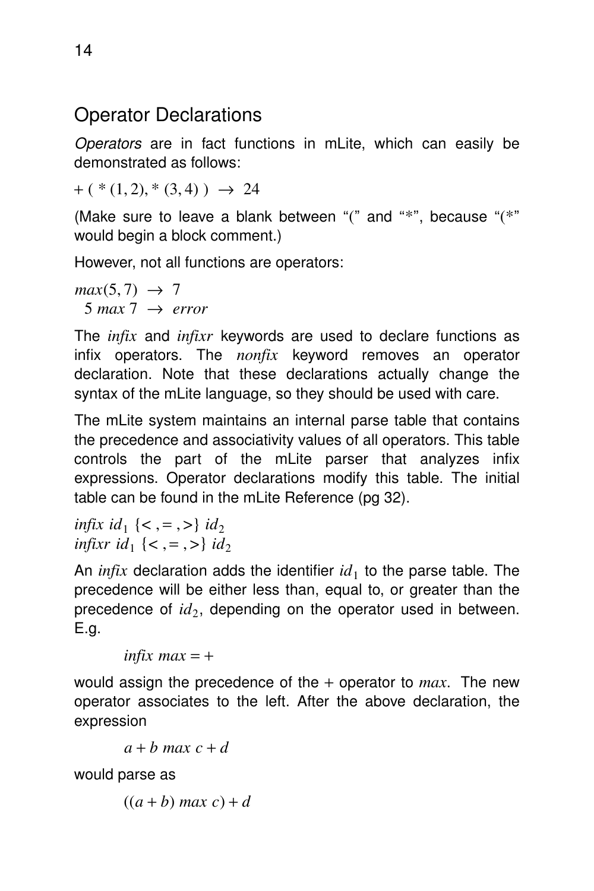#### Operator Declarations

Operators are in fact functions in mLite, which can easily be demonstrated as follows:

 $+$  (  $*(1, 2), * (3, 4)$  )  $\rightarrow$  24

(Make sure to leave a blank between " $($ " and " $*$ ", because " $(*$ " would begin a block comment.)

However, not all functions are operators:

 $max(5, 7) \rightarrow 7$  $5$  *max*  $7 \rightarrow$  *error* 

The *infix* and *infixr* keywords are used to declare functions as infix operators. The *nonfix* keyword removes an operator declaration. Note that these declarations actually change the syntax of the mLite language, so they should be used with care.

The mLite system maintains an internal parse table that contains the precedence and associativity values of all operators. This table controls the part of the mLite parser that analyzes infix expressions. Operator declarations modify this table. The initial table can be found in the mLite Reference (pg 32).

*infix id*<sub>1</sub> { < , = , > } *id*<sub>2</sub> *infixr id*<sub>1</sub>  $\{<, =, >\}$  *id*<sub>2</sub>

An  $\text{infix}$  declaration adds the identifier  $\text{id}_1$  to the parse table. The precedence will be either less than, equal to, or greater than the precedence of  $id_2$ , depending on the operator used in between. E.g.

*infix max*  $= +$ 

would assign the precedence of the + operator to *max*. The new operator associates to the left. After the above declaration, the expression

 $a + b$  *max*  $c + d$ 

would parse as

 $((a + b)$  *max*  $c) + d$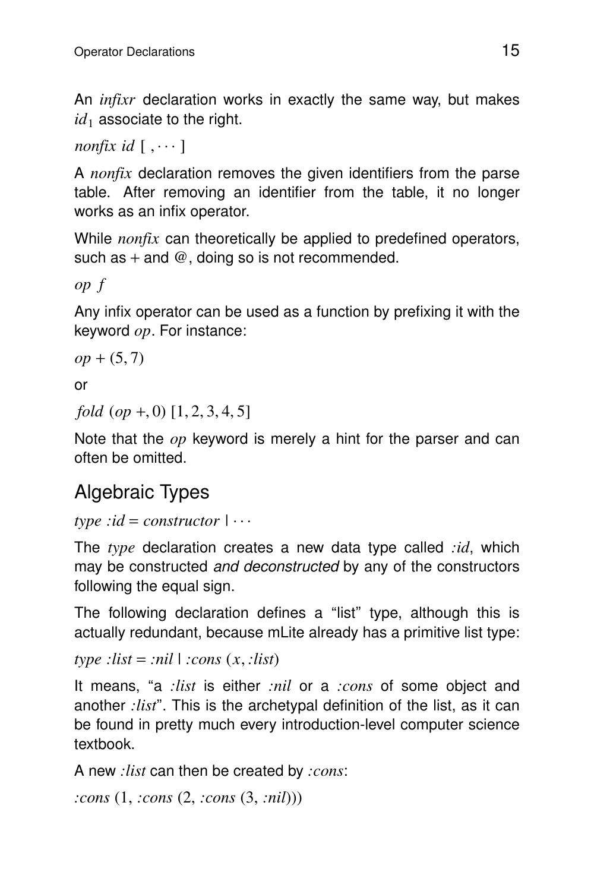An *infixr* declaration works in exactly the same way, but makes  $id_1$  associate to the right.

*nonfix id*  $[\,\ldots\,]$ 

A *nonfix* declaration removes the given identifiers from the parse table. After removing an identifier from the table, it no longer works as an infix operator.

While *nonfix* can theoretically be applied to predefined operators, such as  $+$  and  $@$ , doing so is not recommended.

*op f*

Any infix operator can be used as a function by prefixing it with the keyword *op*. For instance:

```
op + (5, 7)
```
or

*fold* (*op* +, 0) [1, 2, 3, 4, 5]

Note that the *op* keyword is merely a hint for the parser and can often be omitted.

### Algebraic Types

```
type :id = constructor |
...
```
The *type* declaration creates a new data type called *:id*, which may be constructed *and deconstructed* by any of the constructors following the equal sign.

The following declaration defines a ''list'' type, although this is actually redundant, because mLite already has a primitive list type:

 $type$  :*list* = :*nil*  $|$  :*cons*  $(x, :list)$ 

It means, "a *:list* is either *:nil* or a *:cons* of some object and another *:list*''. This is the archetypal definition of the list, as it can be found in pretty much every introduction-level computer science textbook.

A new *:list* can then be created by *:cons*:

```
:cons (1, :cons (2, :cons (3, :nil)))
```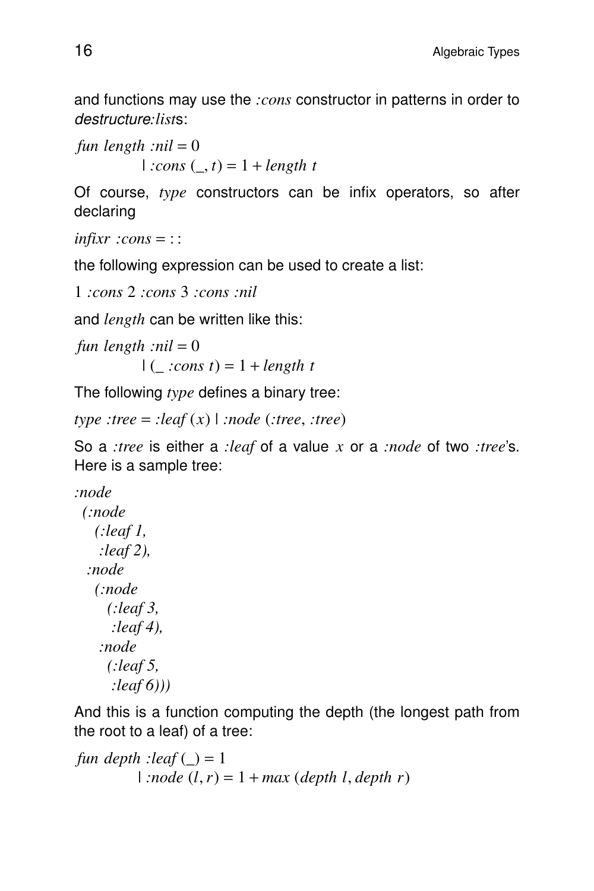and functions may use the *:cons* constructor in patterns in order to destructure*:lists*:

*fun length :nil* = 0  $| \cdot \text{cons } (\_, t) = 1 + \text{length } t$ 

Of course, *type* constructors can be infix operators, so after declaring

```
infixr :cons = : :
```
the following expression can be used to create a list:

```
1 :cons 2 :cons 3 :cons :nil
```
and *length* can be written like this:

```
fun length : nil = 0| ( \cdot \text{cons } t) = 1 + \text{length } t
```
The following *type* defines a binary tree:

*type :tree* = *:leaf* (*x*) | *:node* (*:tree*, *:tree*)

So a *:tree* is either a *:leaf* of a value *x* or a *:node* of two *:tree*'s . Here is a sample tree:

```
:node
 (:node
   (:leaf 1,
   :leaf 2),
  :node
   (:node
     (:leaf 3,
     :leaf 4),
    :node
     (:leaf 5,
     :leaf 6)))
```
And this is a function computing the depth (the longest path from the root to a leaf) of a tree:

```
fun depth : leaf \bigcup = 1
          | :node (l, r) = 1 + max (depth l, depth r)
```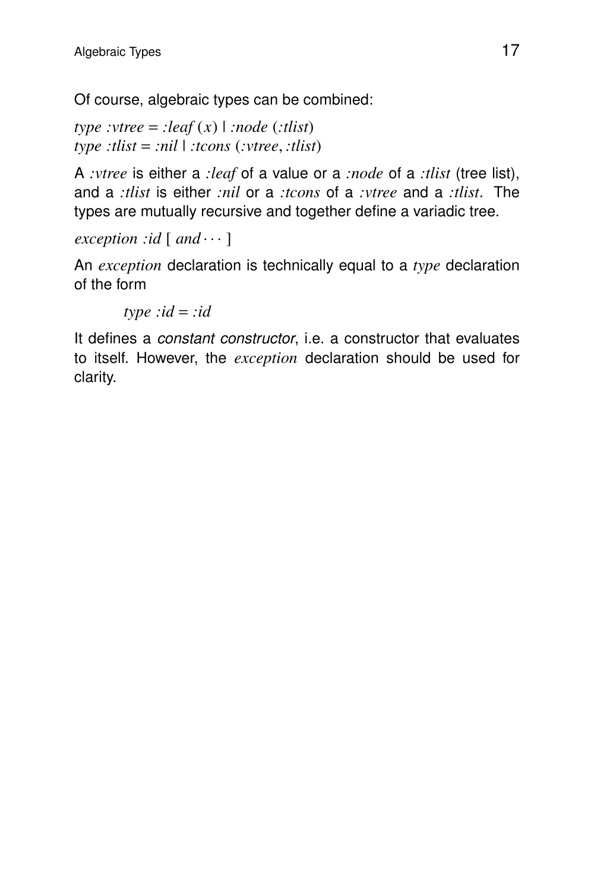Of course, algebraic types can be combined:

*type*  $:\text{vtree} = \text{:leaf}(x) \mid \text{:node}(\text{:this})$ *type :tlist* = *:nil* | *:tcons* (*:vtree*, *:tlist*)

A *:vtree* is either a *:leaf* of a value or a *:node* of a *:tlist* (tree list), and a *:tlist* is either *:nil* or a *:tcons* of a *:vtree* and a *:tlist*. The types are mutually recursive and together define a variadic tree.

*exception :id*  $\lceil$  *and*  $\cdots$   $\rceil$ 

An *exception* declaration is technically equal to a *type* declaration of the form

 $type : id = :id$ 

It defines a *constant constructor*, *i.e.* a constructor that evaluates to itself. However, the *exception* declaration should be used for clarity.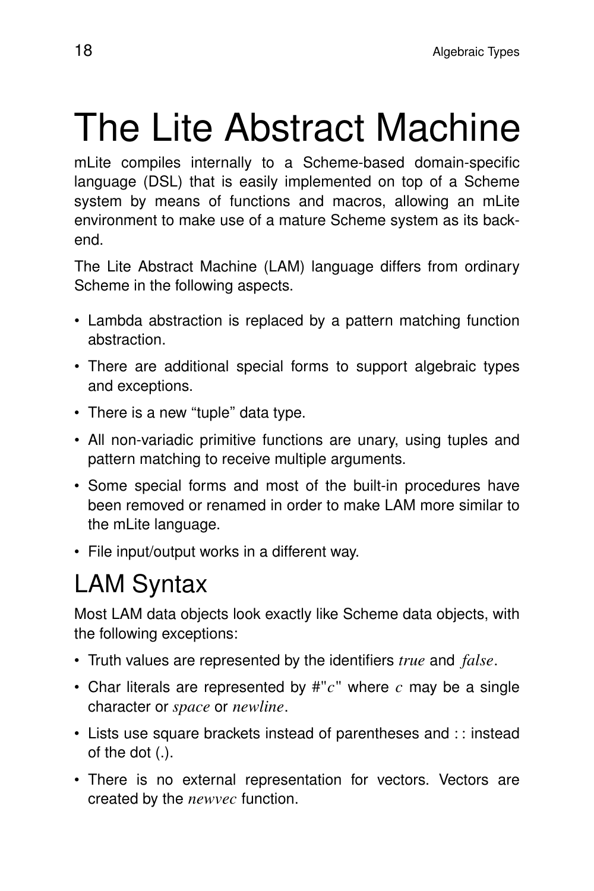# The Lite Abstract Machine

mLite compiles internally to a Scheme-based domain-specific language (DSL) that is easily implemented on top of a Scheme system by means of functions and macros, allowing an mLite environment to make use of a mature Scheme system as its backend.

The Lite Abstract Machine (LAM) language differs from ordinary Scheme in the following aspects.

- Lambda abstraction is replaced by a pattern matching function abstraction.
- There are additional special forms to support algebraic types and exceptions.
- There is a new "tuple" data type.
- All non-variadic primitive functions are unary, using tuples and pattern matching to receive multiple arguments.
- Some special forms and most of the built-in procedures have been removed or renamed in order to make LAM more similar to the mLite language.
- File input/output works in a different way.

## LAM Syntax

Most LAM data objects look exactly like Scheme data objects, with the following exceptions:

- Truth values are represented by the identifiers *true* and *false*.
- Char literals are represented by #"*c*" where *c* may be a single character or *space* or *newline*.
- Lists use square brackets instead of parentheses and :: instead of the dot (.).
- There is no external representation for vectors. Vectors are created by the *newvec* function.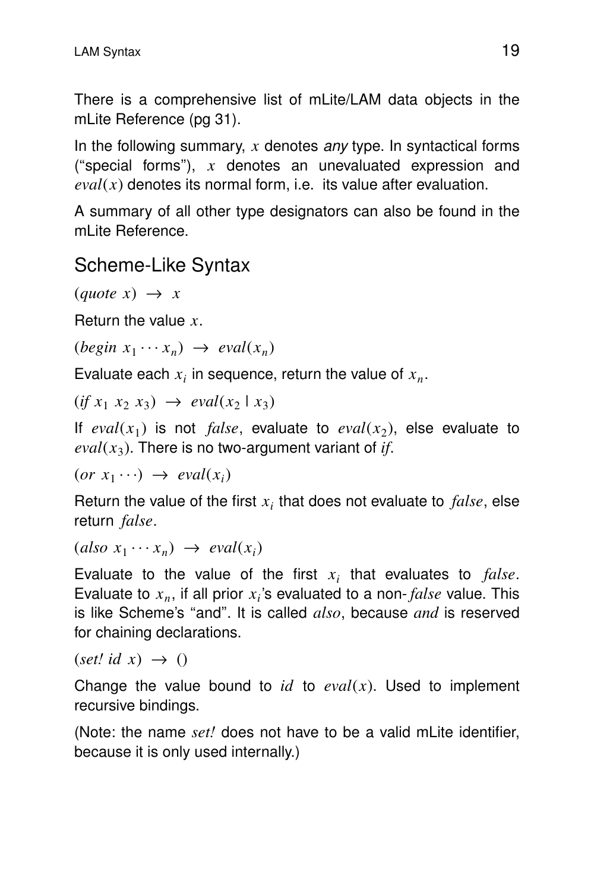There is a comprehensive list of mLite/LAM data objects in the mLite Reference (pg 31).

In the following summary,  $x$  denotes any type. In syntactical forms ("special forms"),  $x$  denotes an unevaluated expression and  $eval(x)$  denotes its normal form, i.e. its value after evaluation.

A summary of all other type designators can also be found in the mLite Reference.

#### Scheme-Like Syntax

```
(\text{quote } x) \rightarrow x
```
Return the value  $x$ .

 $(\text{begin } x_1 \cdots x_n) \rightarrow \text{eval}(x_n)$ 

Evaluate each  $x_i$  in sequence, return the value of  $x_n$ .

 $(if x_1 x_2 x_3) \rightarrow eval(x_2 | x_3)$ 

If  $eval(x_1)$  is not *false*, evaluate to  $eval(x_2)$ , else evaluate to  $eval(x_3)$ . There is no two-argument variant of *if*.

 $(or x_1 \cdots) \rightarrow eval(x_i)$ 

Return the value of the first  $x_i$  that does not evaluate to  $false$ , else return *false*.

 $(also x_1 \cdots x_n) \rightarrow eval(x_i)$ 

Evaluate to the value of the first  $x_i$  that evaluates to  $false$ . Evaluate to  $x_n$ , if all prior  $x_i$ 's evaluated to a non- $false$  value. This is like Scheme's ''and''. It is called *also*, because *and* is reserved for chaining declarations.

 $(set! id x) \rightarrow ()$ 

Change the value bound to  $id$  to  $eval(x)$ . Used to implement recursive bindings.

(Note: the name *set!* does not have to be a valid mLite identifier, because it is only used internally.)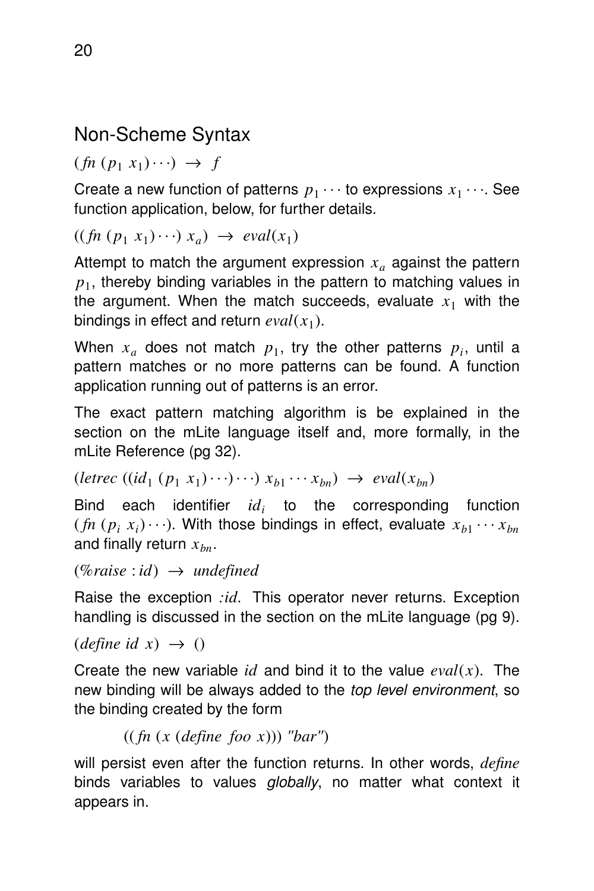#### Non-Scheme Syntax

 $(fn (p_1 x_1) \cdots) \rightarrow f$ 

Create a new function of patterns  $p_1 \cdots$  to expressions  $x_1 \cdots$ . See function application, below, for further details.

 $((\text{fn} (p_1 x_1) \cdots) x_a) \rightarrow \text{eval}(x_1)$ 

Attempt to match the argument expression *x<sup>a</sup>* against the pattern  $p_1$ , thereby binding variables in the pattern to matching values in the argument. When the match succeeds, evaluate  $x_1$  with the bindings in effect and return  $eval(x_1)$ .

When  $x_a$  does not match  $p_1$ , try the other patterns  $p_i$ , until a pattern matches or no more patterns can be found. A function application running out of patterns is an error.

The exact pattern matching algorithm is be explained in the section on the mLite language itself and, more formally, in the mLite Reference (pg 32).

 $(\text{letrec } ((\text{id}_1 (p_1 x_1) \cdots) \cdots) x_{b1} \cdots x_{bn}) \rightarrow \text{eval}(x_{bn})$ 

Bind each identifier *id<sup>i</sup>* to the corresponding function  $(p_i(x_i) \cdots)$ . With those bindings in effect, evaluate  $x_{b1} \cdots x_{bn}$ and finally return *xbn*.

```
(%raise : id) → undefined
```
Raise the exception *:id*. This operator never returns. Exception handling is discussed in the section on the mLite language (pg 9).

 $\text{(define id } x) \rightarrow \text{()}$ 

Create the new variable *id* and bind it to the value  $eval(x)$ . The new binding will be always added to the top level environment, so the binding created by the form

```
(( fn (x (define foo x))) "bar")
```
will persist even after the function returns. In other words, *define* binds variables to values globally, no matter what context it appears in.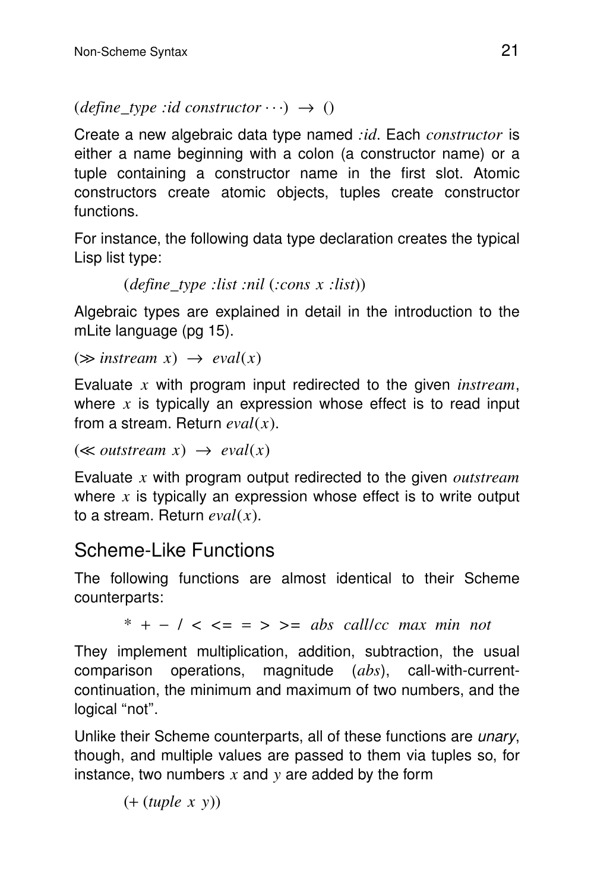```
(define type : id constructor \cdots) \rightarrow ()
```
Create a new algebraic data type named *:id*. Each *constructor* is either a name beginning with a colon (a constructor name) or a tuple containing a constructor name in the first slot. Atomic constructors create atomic objects, tuples create constructor functions.

For instance, the following data type declaration creates the typical Lisp list type:

```
(define_type :list :nil (:cons x :list))
```
Algebraic types are explained in detail in the introduction to the mLite language (pg 15).

```
(\gg instream x) \rightarrow \text{eval}(x)
```
Evaluate *x* with program input redirected to the given *instream*, where *x* is typically an expression whose effect is to read input from a stream. Return *eval*(*x*).

```
(\ll outstream x) \rightarrow \text{eval}(x)
```
Evaluate *x* with program output redirected to the given *outstream* where  $x$  is typically an expression whose effect is to write output to a stream. Return *eval*(*x*).

#### Scheme-Like Functions

The following functions are almost identical to their Scheme counterparts:

\* + − / < *<=* = > *>= abs call*/*cc max min not*

They implement multiplication, addition, subtraction, the usual comparison operations, magnitude (*abs*), call-with-currentcontinuation, the minimum and maximum of two numbers, and the logical "not".

Unlike their Scheme counterparts, all of these functions are *unary*, though, and multiple values are passed to them via tuples so, for instance, two numbers  $x$  and  $y$  are added by the form

(+ (*tuple x y*))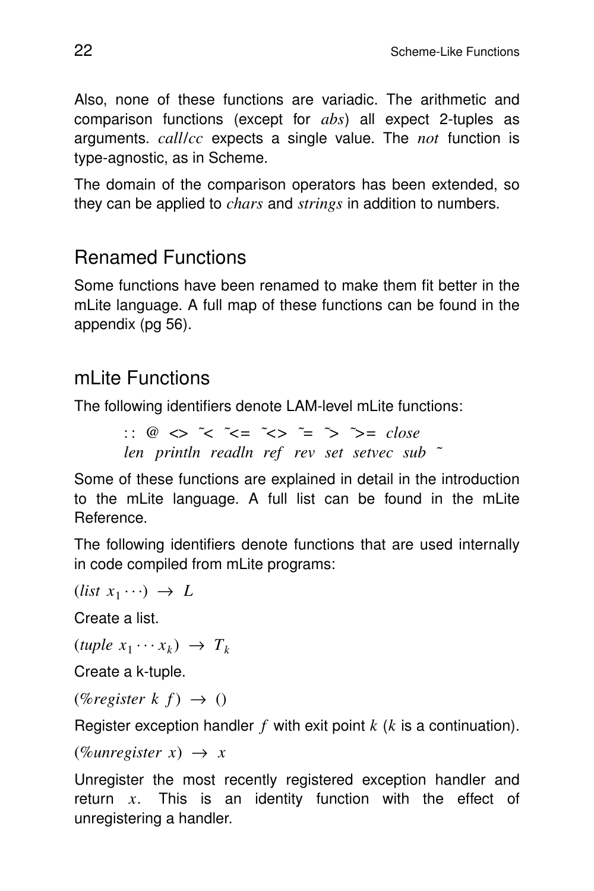Also, none of these functions are variadic. The arithmetic and comparison functions (except for *abs*) all expect 2-tuples as arguments. *call*/*cc* expects a single value. The *not* function is type-agnostic, as in Scheme.

The domain of the comparison operators has been extended, so they can be applied to *chars* and *strings* in addition to numbers.

#### Renamed Functions

Some functions have been renamed to make them fit better in the mLite language. A full map of these functions can be found in the appendix (pg 56).

#### mLite Functions

The following identifiers denote LAM-level mLite functions:

:: @ <> *˜< ˜<= ˜<> ˜= ˜> ˜>= close len println readln ref rev set setvec sub ˜*

Some of these functions are explained in detail in the introduction to the mLite language. A full list can be found in the mLite Reference.

The following identifiers denote functions that are used internally in code compiled from mLite programs:

 $(listr x_1 \cdots) \rightarrow L$ 

Create a list.

 $(tuple \ x_1 \cdots x_k) \rightarrow T_k$ 

Create a k-tuple.

 $(\%$ *register*  $k f) \rightarrow ()$ 

Register exception handler *f* with exit point *k* (*k* is a continuation).

```
(\%unregister x) \rightarrow x
```
Unregister the most recently registered exception handler and return  $x$ . This is an identity function with the effect of unregistering a handler.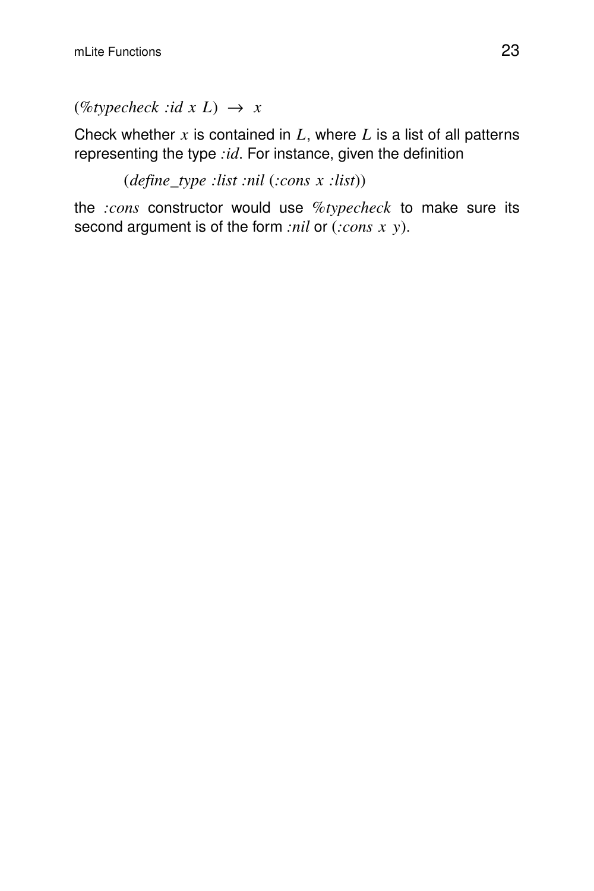$(\%typecheck : id \times L) \rightarrow x$ 

Check whether  $x$  is contained in  $L$ , where  $L$  is a list of all patterns representing the type *:id*. For instance, given the definition

(*define*\_*type :list :nil* (*:cons x :list*))

the *:cons* constructor would use *%typecheck* to make sure its second argument is of the form *:nil* or (*:cons x y*).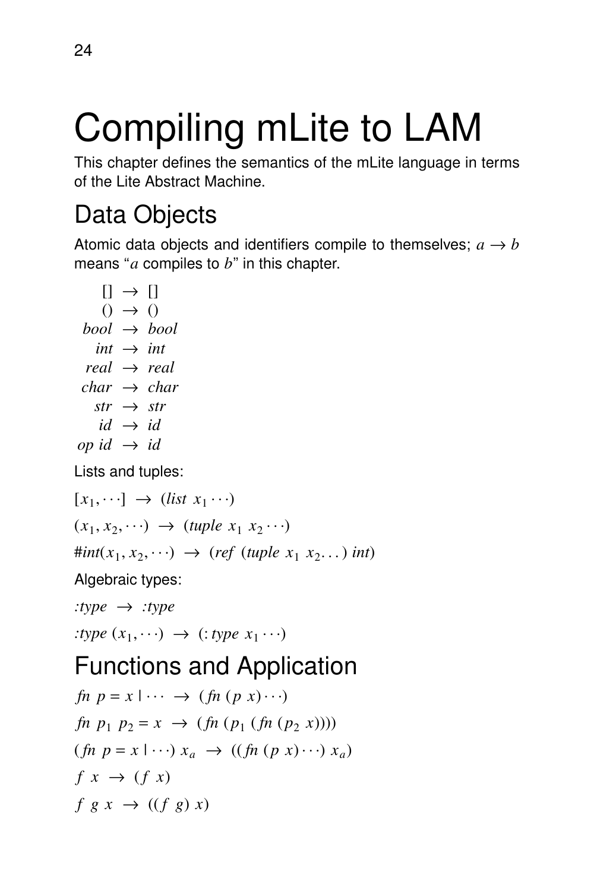# Compiling mLite to LAM

This chapter defines the semantics of the mLite language in terms of the Lite Abstract Machine.

## Data Objects

Atomic data objects and identifiers compile to themselves;  $a \rightarrow b$ means ''*a* compiles to *b*'' in this chapter.

```
[] \rightarrow []() \rightarrow ()bool → bool
   int \rightarrow intreal → real
 char → char
   str \rightarrow strid \rightarrow idop id \rightarrow id
```
Lists and tuples:

 $[x_1, \dots] \rightarrow (list \ x_1 \dots)$  $(x_1, x_2, \dots) \rightarrow (tuple \ x_1 \ x_2 \dots)$  $\#int(x_1, x_2, \cdots) \rightarrow (ref (tuple \ x_1 \ x_2, \cdots) \ int)$ 

Algebraic types:

*:type* → *:type*

:*type*  $(x_1, \dots) \rightarrow$  (: *type*  $x_1 \dots$ )

## Functions and Application

 $fn \, p = x \, \dots \rightarrow (fn \, (p \, x) \cdots)$  $f_n$   $p_1$   $p_2 = x \rightarrow (f_n (p_1 (f_n (p_2 x))))$  $(fn \ p = x \mid \cdots) \ x_a \rightarrow ((fh (p \ x) \cdots) \ x_a)$  $f(x) \rightarrow (f(x))$  $f \ g \ x \ \rightarrow \ ((f \ g) \ x)$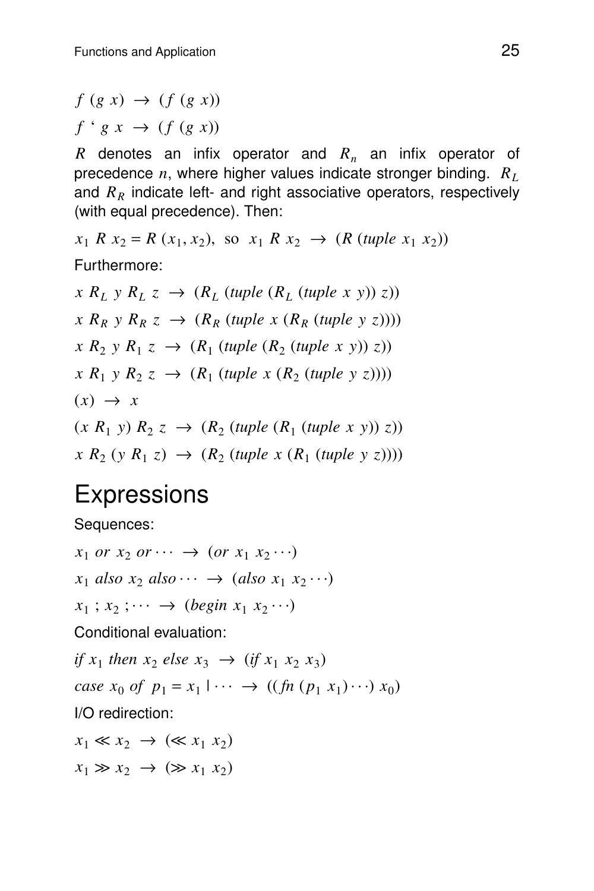$f(g x) \rightarrow (f(g x))$  $f' \circ g x \to (f (g x))$ 

*R* denotes an infix operator and *R<sup>n</sup>* an infix operator of precedence *n*, where higher values indicate stronger binding. *R<sup>L</sup>* and *R<sup>R</sup>* indicate left- and right associative operators, respectively (with equal precedence). Then:

 $x_1$  *R*  $x_2 = R(x_1, x_2)$ , so  $x_1$  *R*  $x_2 \rightarrow (R(\text{tuple } x_1, x_2))$ 

Furthermore:

 $(X \ R_L \ y \ R_L \ z \rightarrow (R_L \ (tuple \ (R_L \ (tuple \ x \ y)) \ z))$  $\chi$   $R_R$   $\gamma$   $R_R$   $\zeta$   $\rightarrow$   $(R_R$  (*tuple x*  $(R_R$  (*tuple y*  $\zeta$ ))))  $(X \ R_2 \ y \ R_1 \ z \ \rightarrow \ (R_1 \ (tuple \ (R_2 \ (tuple \ x \ y)) \ z))$  $(X \ R_1 \ y \ R_2 \ z \ \rightarrow \ (R_1 \ (tuple \ x \ (R_2 \ (tuple \ y \ z))))$  $(x) \rightarrow x$  $(x R_1 y) R_2 z \rightarrow (R_2 (tuple (R_1 (tuple x y)) z))$  $(X \ R_2 \ (y \ R_1 \ z) \ \rightarrow \ (R_2 \ (tuple \ x \ (R_1 \ (tuple \ y \ z))))$ 

## **Expressions**

Sequences:

 $x_1$  *or*  $x_2$  *or*  $\cdots \rightarrow (or x_1 x_2 \cdots)$  $x_1$  *also*  $x_2$  *also*  $\cdots \rightarrow (also \ x_1 \ x_2 \cdots)$  $x_1$ ;  $x_2$ ;  $\cdots \rightarrow$  (*begin*  $x_1$   $x_2 \cdots$ ) Conditional evaluation: *if*  $x_1$  *then*  $x_2$  *else*  $x_3 \rightarrow ($ *if*  $x_1$   $x_2$   $x_3)$  $case x_0 \text{ of } p_1 = x_1 \cup \cdots \rightarrow ((fn (p_1 x_1) \cdots) x_0)$ | I/O redirection:  $x_1 \ll x_2 \rightarrow (\ll x_1 \ x_2)$  $x_1 \gg x_2 \rightarrow (\gg x_1 \ x_2)$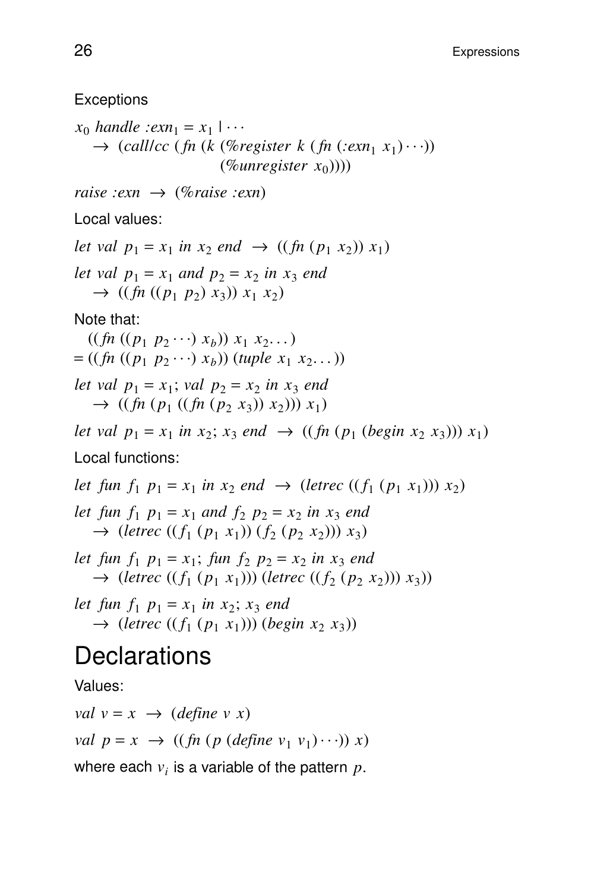**Exceptions** 

 $x_0$  *handle* :*exn*<sub>1</sub> =  $x_1$  | ... |  $\rightarrow$  (*calllcc* (*fn* (*k* (%*register k* (*fn* (*:exn*<sub>1</sub> *x*<sub>1</sub>)...)) (%*unregister x*<sup>0</sup> ))))

*raise :exn* → (%*raise :exn*)

Local values:

*let val*  $p_1 = x_1$  *in*  $x_2$  *end*  $\rightarrow$  ((*fn*  $(p_1 x_2)$ )  $x_1$ ) *let val*  $p_1 = x_1$  *and*  $p_2 = x_2$  *in*  $x_3$  *end*  $\rightarrow$  ((*fn* ((*p*<sub>1</sub> *p*<sub>2</sub>) *x*<sub>3</sub>)) *x*<sub>1</sub> *x*<sub>2</sub>)

Note that:

 $((\text{fn} ((p_1 p_2 \cdots x_b)) x_1 x_2 \cdots))$  $= ((fn ((p_1 p_2 \cdots) x_b)) (tuple x_1 x_2 \cdots))$ *let val*  $p_1 = x_1$ ; *val*  $p_2 = x_2$  *in*  $x_3$  *end*  $\rightarrow$  ((*fn* (*p*<sub>1</sub> ((*fn* (*p*<sub>2</sub> *x*<sub>3</sub>))) *x*<sub>1</sub>))) *x*<sub>1</sub>)

*let val*  $p_1 = x_1$  *in*  $x_2$ ;  $x_3$  *end*  $\rightarrow$  ((*fn* ( $p_1$  (*begin*  $x_2$   $x_3$ )))  $x_1$ ) Local functions:

*let fun*  $f_1$   $p_1 = x_1$  *in*  $x_2$  *end*  $\rightarrow$  (*letrec* (( $f_1$  ( $p_1$   $x_1$ )))  $x_2$ ) *let fun*  $f_1$   $p_1 = x_1$  *and*  $f_2$   $p_2 = x_2$  *in*  $x_3$  *end*  $\rightarrow$  (*letrec* (( $f_1$  ( $p_1$   $x_1$ )) ( $f_2$  ( $p_2$   $x_2$ )))  $x_3$ )

*let fun*  $f_1$   $p_1 = x_1$ ; *fun*  $f_2$   $p_2 = x_2$  *in*  $x_3$  *end*  $\rightarrow$  (*letrec* (( $f_1$  ( $p_1$   $x_1$ ))) (*letrec* (( $f_2$  ( $p_2$   $x_2$ )))  $x_3$ ))

*let fun*  $f_1$   $p_1 = x_1$  *in*  $x_2$ ;  $x_3$  *end*  $\rightarrow$  (*letrec* (( $f_1$  ( $p_1$   $x_1$ ))) (*begin*  $x_2$   $x_3$ ))

### **Declarations**

Values:

*val*  $v = x \rightarrow (define \ v \ x)$ *val*  $p = x \rightarrow ((\text{fn} (p (\text{define } v_1 \ v_1) \cdots)) x)$ 

where each  $v_i$  is a variable of the pattern  $p$ .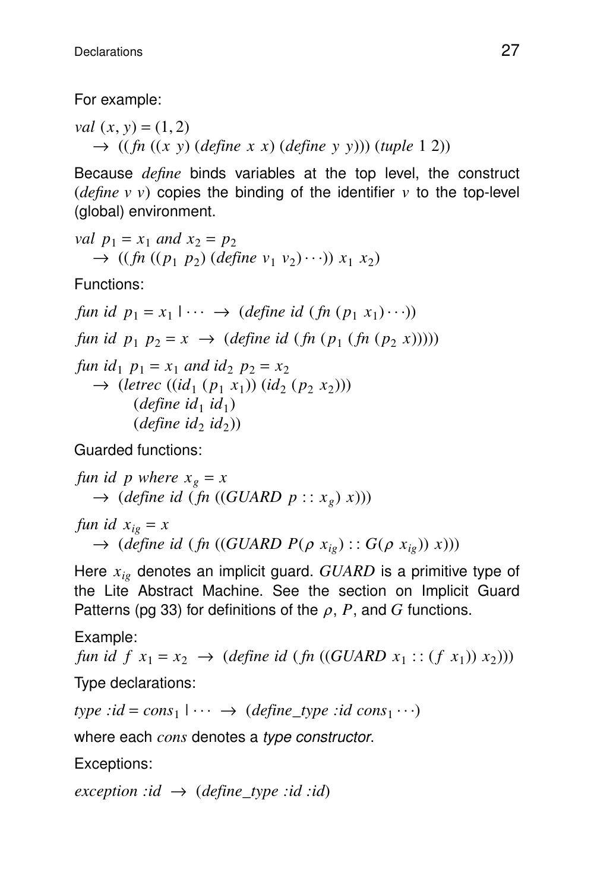For example:

*val*  $(x, y) = (1, 2)$  $\rightarrow$  ((*fn* ((*x y*) (*define x x*) (*define y y*))) (*tuple* 1 2))

Because *define* binds variables at the top level, the construct (*define v v*) copies the binding of the identifier *v* to the top-level (global) environment.

*val* 
$$
p_1 = x_1
$$
 *and*  $x_2 = p_2$   
 $\rightarrow ((fn ((p_1 p_2) (define v_1 v_2) \cdots)) x_1 x_2)$ 

Functions:

*fun id*  $p_1 = x_1 \cup \cdots \to (define \ id \ (fn \ (p_1 \ x_1) \cdots))$ | *fun id*  $p_1 p_2 = x \rightarrow (define \ id \ (fn \ (p_1 \ (fn \ (p_2 \ x))))))$ *fun id*<sub>1</sub>  $p_1 = x_1$  *and id*<sub>2</sub>  $p_2 = x_2$  $\rightarrow$  (*letrec* ((*id*<sub>1</sub> ( $p_1$   $x_1$ )) (*id*<sub>2</sub> ( $p_2$   $x_2$ )))  $(define\ id_1\ id_1)$  $(define\ id_2\ id_2)$ 

Guarded functions:

*fun id p where*  $x_g = x$  $\rightarrow$  (*define id* (*fn* ((*GUARD*  $p :: x_g(x)$ )) *fun id*  $x_{i} = x$  $\rightarrow$  (*define id* (*fn* ((*GUARD P*( $\rho$  *x*<sub>*ig*</sub>) :: *G*( $\rho$  *x*<sub>*ig*</sub>)) *x*)))

Here *xig* denotes an implicit guard. *GUARD* is a primitive type of the Lite Abstract Machine. See the section on Implicit Guard Patterns (pg 33) for definitions of the  $\rho$ ,  $P$ , and  $G$  functions.

Example:

*fun id*  $f(x_1 = x_2 \rightarrow (define \ id \ (fn \ ((GUARD \ x_1 :: (f x_1)) \ x_2)))$ Type declarations:

 $type : id = cons_1 \cup \cdots \rightarrow (define\_type : id \text{ cons}_1 \cdots)$ |

where each *cons* denotes a type constructor.

Exceptions:

*exception :id*  $\rightarrow$  (*define\_type :id :id*)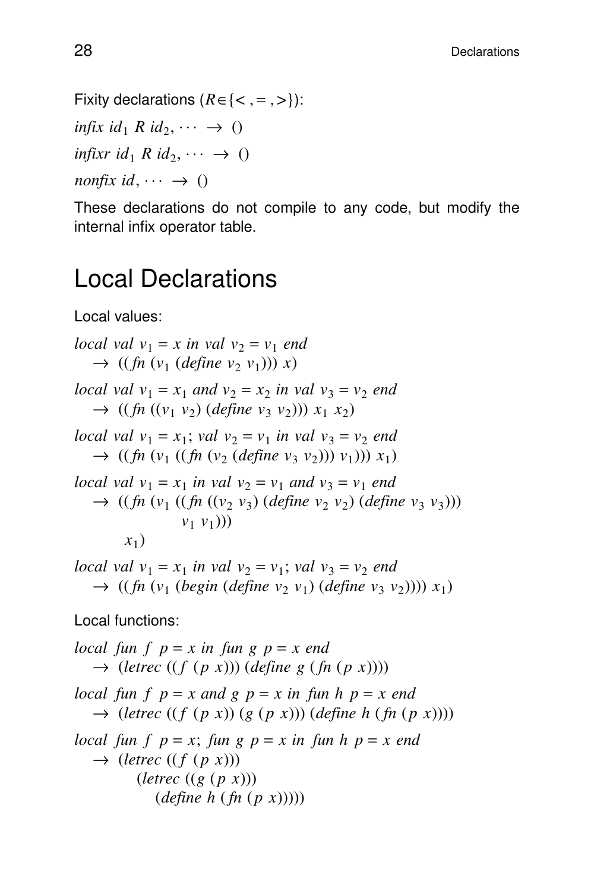Fixity declarations  $(R \in \{<, = , >\})$ :  $\inf\{x \text{ id}_1 R \text{ id}_2, \dots \to \emptyset\}$  $\text{infixr } id_1 \mathbb{R} \text{ id}_2, \dots \to 0$ 

 $nonfix$  *id*,  $\cdots \rightarrow ()$ 

These declarations do not compile to any code, but modify the internal infix operator table.

## Local Declarations

Local values:

*local val*  $v_1 = x$  *in val*  $v_2 = v_1$  *end*  $\rightarrow$  ((*fn* (*v*<sub>1</sub> (*define v*<sub>2</sub> *v*<sub>1</sub>)))) *x*) *local val*  $v_1 = x_1$  *and*  $v_2 = x_2$  *in val*  $v_3 = v_2$  *end*  $\rightarrow$  ((*fn* ((*v*<sub>1</sub> *v*<sub>2</sub>)</sub>) (*define v*<sub>3</sub> *v*<sub>2</sub>))) *x*<sub>1</sub> *x*<sub>2</sub>) *local val*  $v_1 = x_1$ ; *val*  $v_2 = v_1$  *in val*  $v_3 = v_2$  *end*  $\rightarrow$  ((*fn* (*v*<sub>1</sub> ((*fn* (*v*<sub>2</sub> (*define v*<sub>3</sub> *v*<sub>2</sub>)))) *v*<sub>1</sub>))) *x*<sub>1</sub>) *local val*  $v_1 = x_1$  *in val*  $v_2 = v_1$  *and*  $v_3 = v_1$  *end*  $\rightarrow$  ((*fn* ( $v_1$  ((*fn* (( $v_2$   $v_3$ ) (*define*  $v_2$   $v_2$ ) (*define*  $v_3$   $v_3$ ))) *v*<sup>1</sup> *v*<sup>1</sup> ))) *x*1 ) *local val*  $v_1 = x_1$  *in val*  $v_2 = v_1$ ; *val*  $v_3 = v_2$  *end*  $\rightarrow$  ((*fn* (*v*<sub>1</sub> (*begin* (*define v*<sub>2</sub> *v*<sub>1</sub>) (*define v*<sub>3</sub> *v*<sub>2</sub>)))) *x*<sub>1</sub>) Local functions: *local fun*  $f$   $p = x$  *in fun*  $g$   $p = x$  *end*  $\rightarrow$  (*letrec* ((*f* (*p x*))) (*define g* (*fn* (*p x*)))) *local fun f p* = *x and g p* = *x in fun h p* = *x end*  $\rightarrow$  (*letrec* ((*f* (*p x*))) (*g* (*p x*)))) (*define h* (*fn* (*p x*)))) *local fun*  $f$   $p = x$ ; *fun*  $g$   $p = x$  *in fun*  $h$   $p = x$  *end*  $\rightarrow$  (*letrec* ((*f* (*p x*))) (*letrec* ((*g* ( *p x*)))

$$
(define \; h \; (fn \; (p \; x))))
$$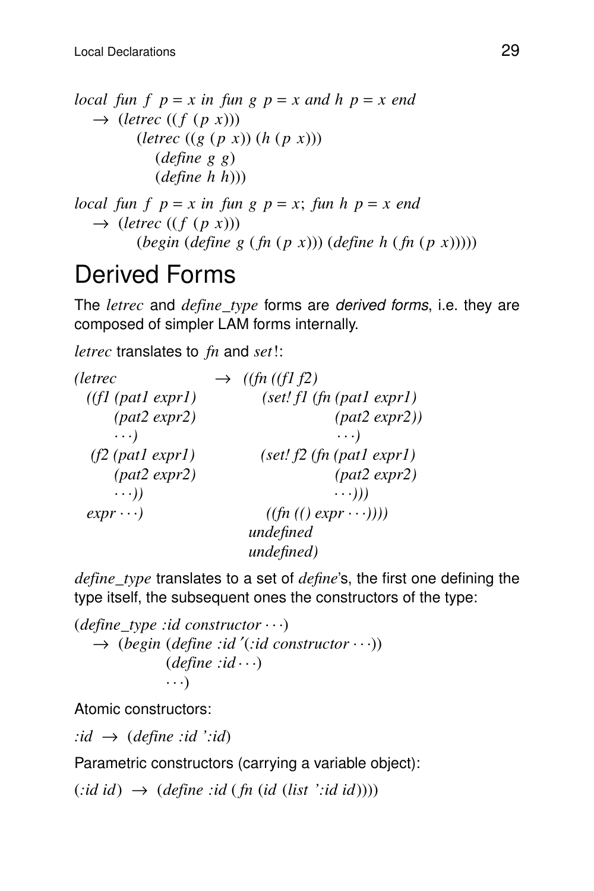*local fun f*  $p = x$  *in fun*  $g$   $p = x$  *and h*  $p = x$  *end*  $\rightarrow$  (*letrec* ((*f* (*p x*)))  $(letrec ((g (p x))(h (p x)))$ (*define g g*) (*define h h*))) *local fun f*  $p = x$  *in fun g*  $p = x$ ; *fun*  $h$   $p = x$  *end*  $\rightarrow$  (*letrec* ((*f* (*p x*)))

## Derived Forms

The *letrec* and *define type* forms are *derived forms*, i.e. they are composed of simpler LAM forms internally.

(*begin* (*define g* ( *fn* ( *p x*))) (*define h* ( *fn* ( *p x*)))))

*letrec* translates to *fn* and *set*!:

| (letrec            | $\rightarrow$ ((fn ((fl f2))    |
|--------------------|---------------------------------|
| ((f1 (patl expr1)) | $(self!$ $fh$ $(path \; expr1)$ |
| (pat2 expr2)       | (path2 expr2))                  |
| $\cdots$ )         | $\cdots$ )                      |
| $(f2$ (patl exprl) | (set! f2 (fn (patl expr1))      |
| (pat2 expr2)       | (pat2 expr2)                    |
| $\cdots$ ))        | $\ldots$ ))                     |
| $expr \cdots)$     | $((fn (() expr \cdots)))$       |
|                    | undefined                       |
|                    | undefined)                      |

*define\_type* translates to a set of *define*'s, the first one defining the type itself, the subsequent ones the constructors of the type:

```
(define_type :id constructor ...)
  → (begin (define :id ′(:id constructor ...))
              (define : id \cdots)...)
```
Atomic constructors:

 $: id \rightarrow (define : id \rightarrow id)$ 

Parametric constructors (carrying a variable object):

 $(:id id) \rightarrow (define : id (fn (id (list '::id id))))$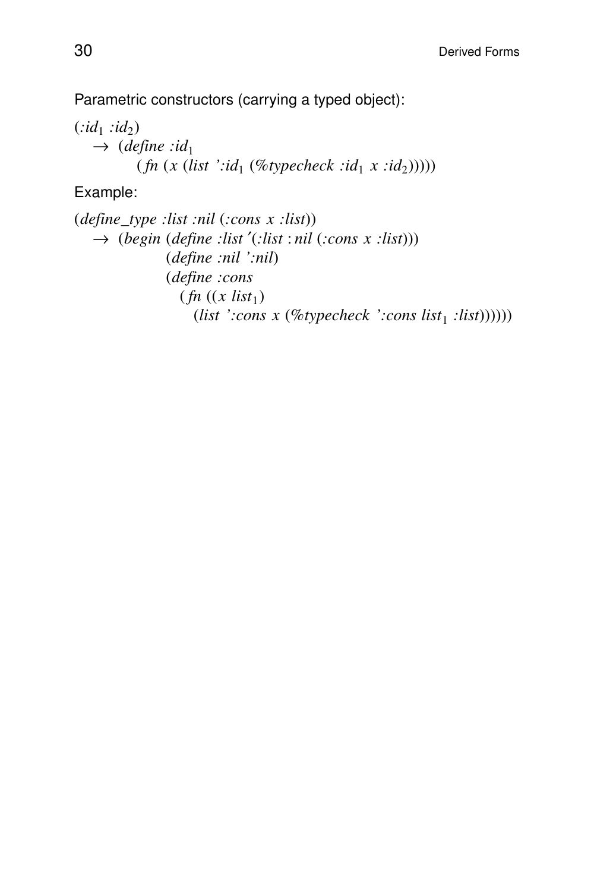Parametric constructors (carrying a typed object):

 $(i d_1 \nmid id_2)$  $\rightarrow$  (*define* :*id*<sub>1</sub>  $(fn(x (list '::id_1 (\%typecheck : id_1 x ::id_2))))))$ 

Example:

(*define*\_*type :list :nil* (*:cons x :list*)) → (*begin* (*define :list* ′(*:list* : *nil* (*:cons x :list*))) (*define :nil ':nil*) (*define :cons*  $(\textit{fn} \ (x \ \textit{list}_1))$ (*list ':cons*  $x$  (%*typecheck ':cons list*<sub>1</sub> :*list*))))))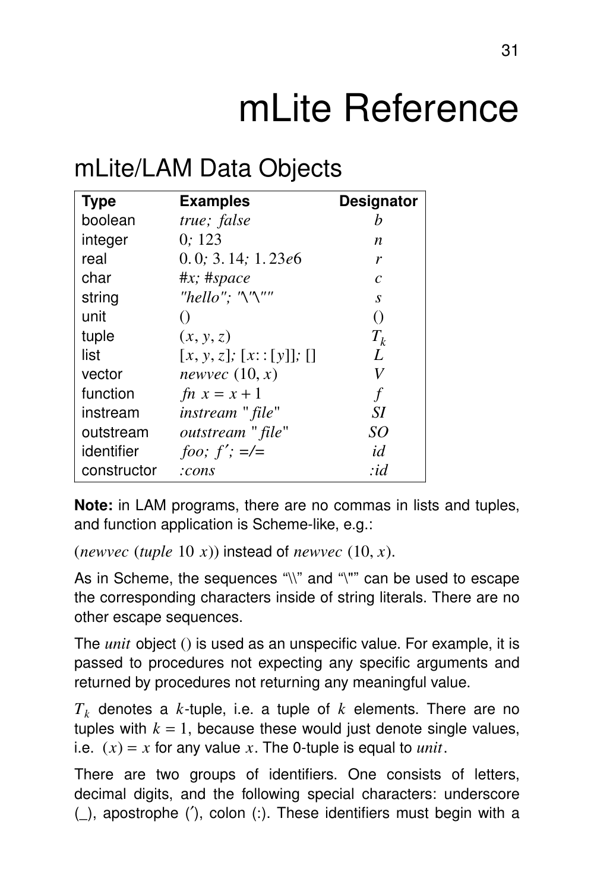# mLite Reference

## mLite/LAM Data Objects

| <b>Type</b> | <b>Examples</b>               | <b>Designator</b> |
|-------------|-------------------------------|-------------------|
| boolean     | true; false                   | h                 |
| integer     | 0:123                         | n                 |
| real        | 0.0; 3.14; 1.23e6             | r                 |
| char        | $\#x$ ; $\#space$             | $\mathcal{C}$     |
| string      | "hello"; " $\gamma$ "'"       | S                 |
| unit        |                               | $\left( \right)$  |
| tuple       | (x, y, z)                     | $T_{k}$           |
| list        | $[x, y, z]$ ; $[x: [y]]$ ; [] | L                 |
| vector      | newvec $(10, x)$              | V                 |
| function    | $fn x = x + 1$                | f                 |
| instream    | instream " file"              | SΙ                |
| outstream   | outstream " file"             | SO                |
| identifier  | foo; $f'$ ; $=\mathcal{L}$    | id                |
| constructor | :cons                         | :id               |

**Note:** in LAM programs, there are no commas in lists and tuples, and function application is Scheme-like, e.g.:

```
(newvec (tuple 10 x)) instead of newvec (10, x).
```
As in Scheme, the sequences "\\" and "\"" can be used to escape the corresponding characters inside of string literals. There are no other escape sequences.

The *unit* object () is used as an unspecific value. For example, it is passed to procedures not expecting any specific arguments and returned by procedures not returning any meaningful value.

*T<sup>k</sup>* denotes a *k*-tuple, i.e. a tuple of *k* elements. There are no tuples with  $k = 1$ , because these would just denote single values, i.e.  $(x) = x$  for any value *x*. The 0-tuple is equal to *unit*.

There are two groups of identifiers. One consists of letters, decimal digits, and the following special characters: underscore (\_), apostrophe (′), colon (:). These identifiers must begin with a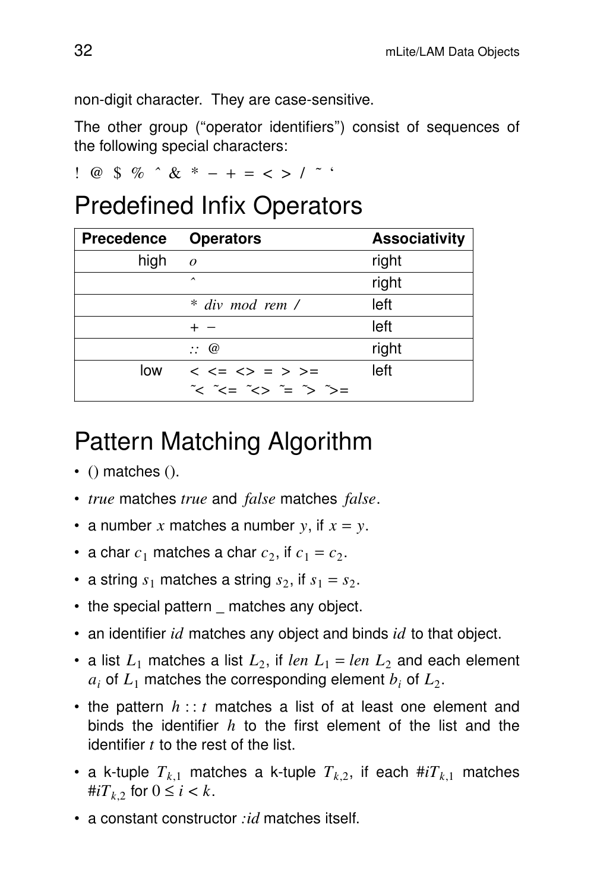non-digit character. They are case-sensitive.

The other group (''operator identifiers'') consist of sequences of the following special characters:

!@\$% *ˆ* & \* −+= <> / *˜* '

## Predefined Infix Operators

| <b>Precedence</b> | <b>Operators</b>                                                                                                                                                                                                                                                                                                                                                                                                       | <b>Associativity</b> |
|-------------------|------------------------------------------------------------------------------------------------------------------------------------------------------------------------------------------------------------------------------------------------------------------------------------------------------------------------------------------------------------------------------------------------------------------------|----------------------|
| high              | $\mathcal{O}$                                                                                                                                                                                                                                                                                                                                                                                                          | right                |
|                   | $\hat{\phantom{1}}$                                                                                                                                                                                                                                                                                                                                                                                                    | right                |
|                   | * div mod rem /                                                                                                                                                                                                                                                                                                                                                                                                        | left                 |
|                   |                                                                                                                                                                                                                                                                                                                                                                                                                        | left                 |
|                   | $\therefore \omega$                                                                                                                                                                                                                                                                                                                                                                                                    | right                |
| low               | $< <= <> => =>$                                                                                                                                                                                                                                                                                                                                                                                                        | left                 |
|                   | $\tilde{\mathcal{C}}$ $\tilde{\mathcal{C}}$ $\tilde{\mathcal{C}}$ $\tilde{\mathcal{C}}$ $\tilde{\mathcal{C}}$ $\tilde{\mathcal{C}}$ $\tilde{\mathcal{C}}$ $\tilde{\mathcal{C}}$ $\tilde{\mathcal{C}}$ $\tilde{\mathcal{C}}$ $\tilde{\mathcal{C}}$ $\tilde{\mathcal{C}}$ $\tilde{\mathcal{C}}$ $\tilde{\mathcal{C}}$ $\tilde{\mathcal{C}}$ $\tilde{\mathcal{C}}$ $\tilde{\mathcal{C}}$ $\tilde{\mathcal{C}}$ $\tilde{\$ |                      |

## Pattern Matching Algorithm

- $\bullet$  () matches ().
- *true* matches *true* and *false* matches *false*.
- a number x matches a number  $y$ , if  $x = y$ .
- a char  $c_1$  matches a char  $c_2$ , if  $c_1 = c_2$ .
- a string  $s_1$  matches a string  $s_2$ , if  $s_1 = s_2$ .
- the special pattern matches any object.
- an identifier *id* matches any object and binds *id* to that object.
- a list  $L_1$  matches a list  $L_2$ , if *len*  $L_1 = len L_2$  and each element  $a_i$  of  $L_1$  matches the corresponding element  $b_i$  of  $L_2$ .
- the pattern  $h$ :: *t* matches a list of at least one element and binds the identifier *h* to the first element of the list and the identifier *t* to the rest of the list.
- a k-tuple  $T_{k,1}$  matches a k-tuple  $T_{k,2}$ , if each  $\#iT_{k,1}$  matches  $\#iT_k$ , for  $0 \leq i \leq k$ .
- a constant constructor *:id* matches itself.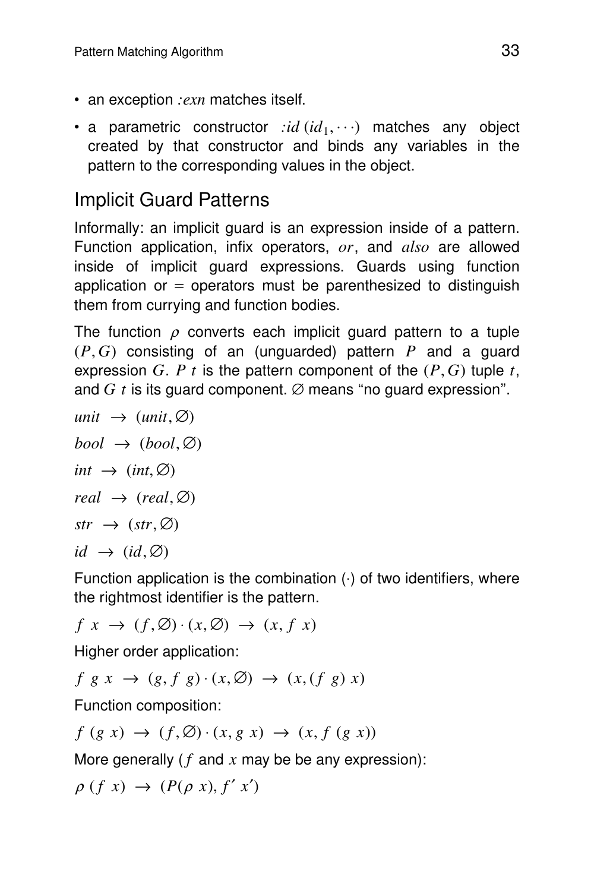- an exception *:exn* matches itself.
- a parametric constructor  $\langle id (id_1, \cdots)$  matches any object created by that constructor and binds any variables in the pattern to the corresponding values in the object.

### **Implicit Guard Patterns**

Informally: an implicit guard is an expression inside of a pattern. Function application, infix operators, *or*, and *also* are allowed inside of implicit guard expressions. Guards using function application or  $=$  operators must be parenthesized to distinguish them from currying and function bodies.

The function  $\rho$  converts each implicit guard pattern to a tuple (*P*, *G*) consisting of an (unguarded) pattern *P* and a guard expression *G*. *P t* is the pattern component of the  $(P, G)$  tuple *t*, and  $G$  t is its guard component.  $\varnothing$  means "no guard expression".

 $unit \rightarrow (unit, \emptyset)$  $bool \rightarrow (bool, \emptyset)$ *int*  $\rightarrow$  *(int,*  $\varnothing$ *)*  $real \rightarrow (real, \emptyset)$  $str \rightarrow (str, \emptyset)$  $id \rightarrow (id, \emptyset)$ 

Function application is the combination  $(·)$  of two identifiers, where the rightmost identifier is the pattern.

 $f(x, y) \rightarrow (f, \emptyset) \rightarrow (f, \emptyset) \rightarrow (f, f, x)$ 

Higher order application:

 $f \ g \ x \ \rightarrow \ (g, f \ g) \cdot (x, \emptyset) \ \rightarrow \ (x, (f \ g) \ x)$ 

Function composition:

 $f(g x) \rightarrow (f, \emptyset) \cdot (x, g x) \rightarrow (x, f (g x))$ 

More generally ( *f* and *x* may be be any expression):

 $\rho(f x) \rightarrow (P(\rho x), f' x')$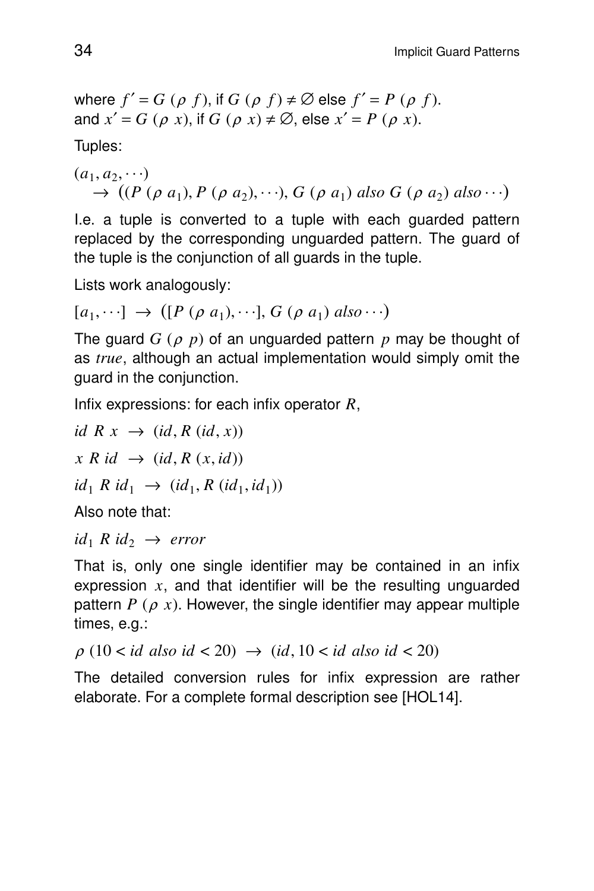where 
$$
f' = G(\rho f)
$$
, if  $G(\rho f) \neq \emptyset$  else  $f' = P(\rho f)$ .  
and  $x' = G(\rho x)$ , if  $G(\rho x) \neq \emptyset$ , else  $x' = P(\rho x)$ .

Tuples:

$$
(a_1, a_2, \cdots)
$$
  
\n
$$
\rightarrow ((P (\rho a_1), P (\rho a_2), \cdots), G (\rho a_1) \text{ also } G (\rho a_2) \text{ also } \cdots)
$$

I.e. a tuple is converted to a tuple with each guarded pattern replaced by the corresponding unguarded pattern. The guard of the tuple is the conjunction of all guards in the tuple.

Lists work analogously:

$$
[a_1, \cdots] \rightarrow ([P (\rho a_1), \cdots], G (\rho a_1) \text{ also} \cdots)
$$

The guard *G* (<sup>ρ</sup> *p*) of an unguarded pattern *p* may be thought of as *true*, although an actual implementation would simply omit the guard in the conjunction.

Infix expressions: for each infix operator *R*,

*id*  $R x \rightarrow (id, R (id, x))$  $x R id \rightarrow (id, R (x, id))$  $id_1 \, R \, id_1 \rightarrow (id_1, R \, (id_1, id_1))$ 

Also note that:

 $id_1$  *R*  $id_2$   $\rightarrow$  *error* 

That is, only one single identifier may be contained in an infix expression *x*, and that identifier will be the resulting unguarded pattern  $P$  ( $\rho$  x). However, the single identifier may appear multiple times, e.g.:

$$
\rho (10 < id \text{ also } id < 20) \rightarrow (id, 10 < id \text{ also } id < 20)
$$

The detailed conversion rules for infix expression are rather elaborate. For a complete formal description see [HOL14].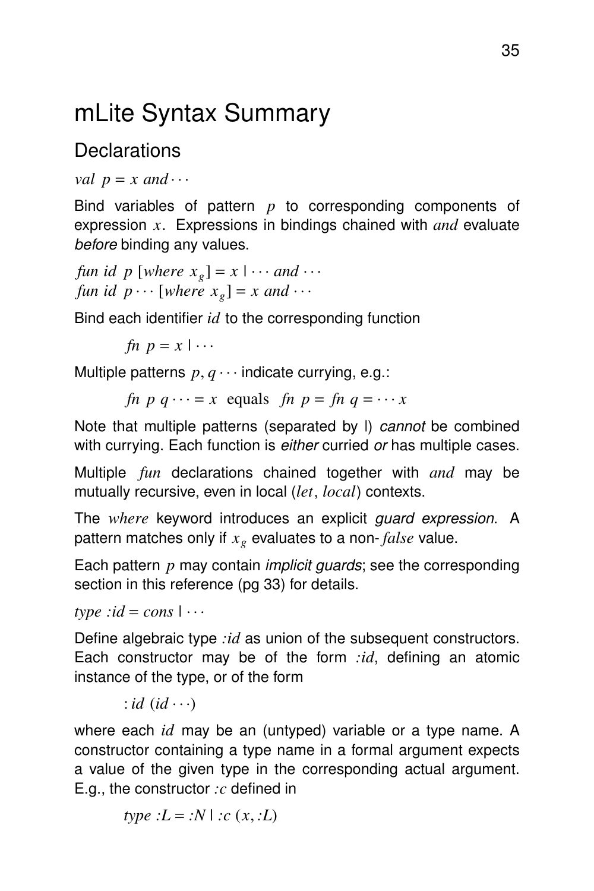## mLite Syntax Summary

### **Declarations**

```
val p = x and \cdots
```
Bind variables of pattern *p* to corresponding components of expression *x*. Expressions in bindings chained with *and* evaluate before binding any values.

*fun id*  $p \times [where x_g] = x \times ...$  *and*  $\cdots$ *fun id*  $p \cdots$  [*where*  $x_g$ ] = *x and*  $\cdots$ 

Bind each identifier *id* to the corresponding function

*fn*  $p = x \mid \cdots$ 

Multiple patterns  $p, q \cdots$  indicate currying, e.g.:

*fn*  $p \cdot q \cdots = x$  equals *fn*  $p = fn \cdot q = \cdots x$ 

Note that multiple patterns (separated by I) cannot be combined with currying. Each function is either curried or has multiple cases.

Multiple *fun* declarations chained together with *and* may be mutually recursive, even in local (*let*, *local*) contexts.

The *where* keyword introduces an explicit guard expression. A pattern matches only if  $x_g$  evaluates to a non-*false* value.

Each pattern *p* may contain implicit guards; see the corresponding section in this reference (pg 33) for details.

 $type : id = cons \mid \cdots$ 

Define algebraic type *:id* as union of the subsequent constructors. Each constructor may be of the form  $id$ , defining an atomic instance of the type, or of the form

: *id*  $(id \cdots)$ 

where each *id* may be an (untyped) variable or a type name. A constructor containing a type name in a formal argument expects a value of the given type in the corresponding actual argument. E.g., the constructor *:c* defined in

*type*  $:L = :N | ::c (x, :L)$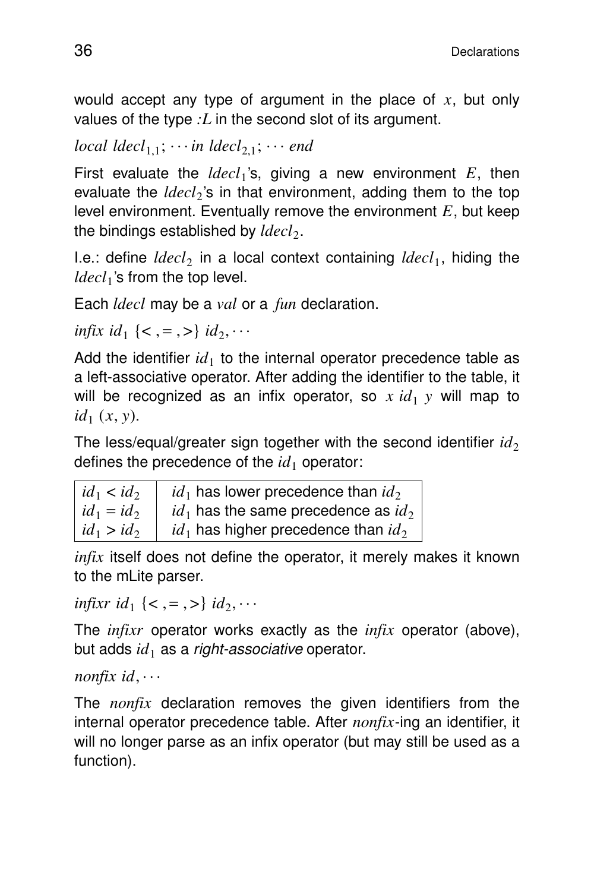would accept any type of argument in the place of *x*, but only values of the type *:L* in the second slot of its argument.

```
local ldecl<sub>1,1</sub>; \cdots in ldecl<sub>2,1</sub>; \cdots end
```
First evaluate the  $ldecl_1$ 's, giving a new environment  $E$ , then evaluate the *ldecl*<sub>2</sub>'s in that environment, adding them to the top level environment. Eventually remove the environment *E*, but keep the bindings established by *ldecl*<sub>2</sub>.

I.e.: define *ldecl*<sub>2</sub> in a local context containing *ldecl*<sub>1</sub>, hiding the *ldecl*<sup>1</sup> 's from the top level.

Each *ldecl* may be a *val* or a *fun* declaration.

*infix id*<sub>1</sub> { < , = , >} *id*<sub>2</sub>,  $\cdots$ 

Add the identifier  $id_1$  to the internal operator precedence table as a left-associative operator. After adding the identifier to the table, it will be recognized as an infix operator, so  $x \, id_1 y$  will map to  $id_1(x, y)$ .

The less/equal/greater sign together with the second identifier  $id_2$ defines the precedence of the  $id_1$  operator:

| $id_1 < id_2$ | $id_1$ has lower precedence than $id_2$  |
|---------------|------------------------------------------|
| $id_1 = id_2$ | $id_1$ has the same precedence as $id_2$ |
| $id_1 > id_2$ | $id_1$ has higher precedence than $id_2$ |

*infix* itself does not define the operator, it merely makes it known to the mLite parser.

*infixr id*<sub>1</sub> {< , = , >} *id*<sub>2</sub>,  $\cdots$ 

The *infixr* operator works exactly as the *infix* operator (above), but adds  $id_1$  as a *right-associative* operator.

*nonfix id*, ...

The *nonfix* declaration removes the given identifiers from the internal operator precedence table. After *nonfix*-ing an identifier, it will no longer parse as an infix operator (but may still be used as a function).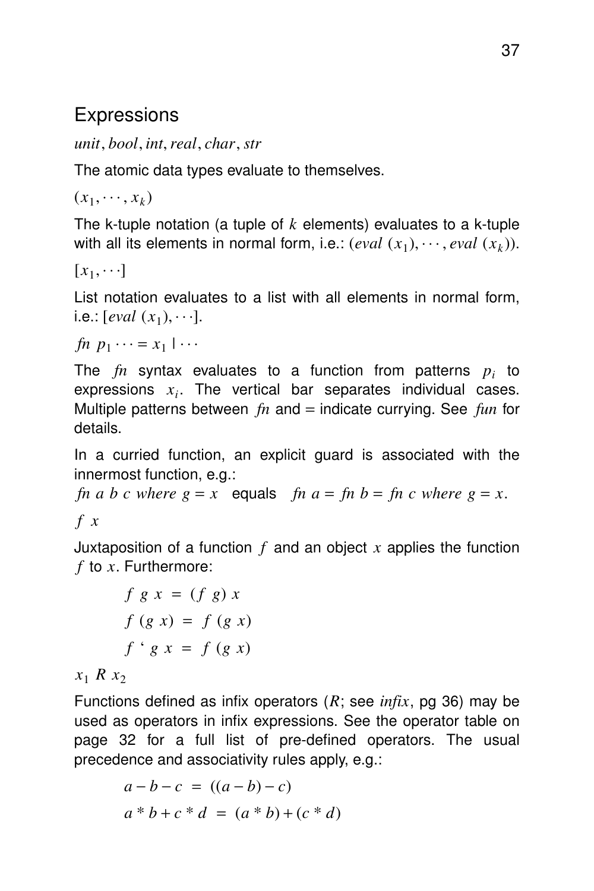#### **Expressions**

*unit*, *bool*, *int*,*real*, *char*, *str*

The atomic data types evaluate to themselves.

 $(x_1, \dots, x_k)$ 

The k-tuple notation (a tuple of *k* elements) evaluates to a k-tuple with all its elements in normal form, i.e.:  $\left(\text{eval }(x_1), \cdots, \text{eval }(x_k)\right)$ .

 $[x_1, \cdots]$ 

List notation evaluates to a list with all elements in normal form,  $i.e.: [eval(x_1), \cdots].$ 

 $fn$   $p_1 \cdots = x_1 \mid \cdots$ 

The *fn* syntax evaluates to a function from patterns *p<sup>i</sup>* to  $exp$ ressions  $x_i$ . The vertical bar separates individual cases. Multiple patterns between *fn* and = indicate currying. See *fun* for details.

In a curried function, an explicit guard is associated with the innermost function, e.g.:

*fn a b c* where  $g = x$  equals *fn a* = *fn b* = *fn c* where  $g = x$ . *f x*

Juxtaposition of a function *f* and an object *x* applies the function  $f$  to  $x$ . Furthermore:

$$
f g x = (f g) x
$$
  

$$
f (g x) = f (g x)
$$
  

$$
f ' g x = f (g x)
$$

 $x_1$  *R*  $x_2$ 

Functions defined as infix operators (*R*; see *infix*, pg 36) may be used as operators in infix expressions. See the operator table on page 32 for a full list of pre-defined operators. The usual precedence and associativity rules apply, e.g.:

$$
a - b - c = ((a - b) - c)
$$
  

$$
a * b + c * d = (a * b) + (c * d)
$$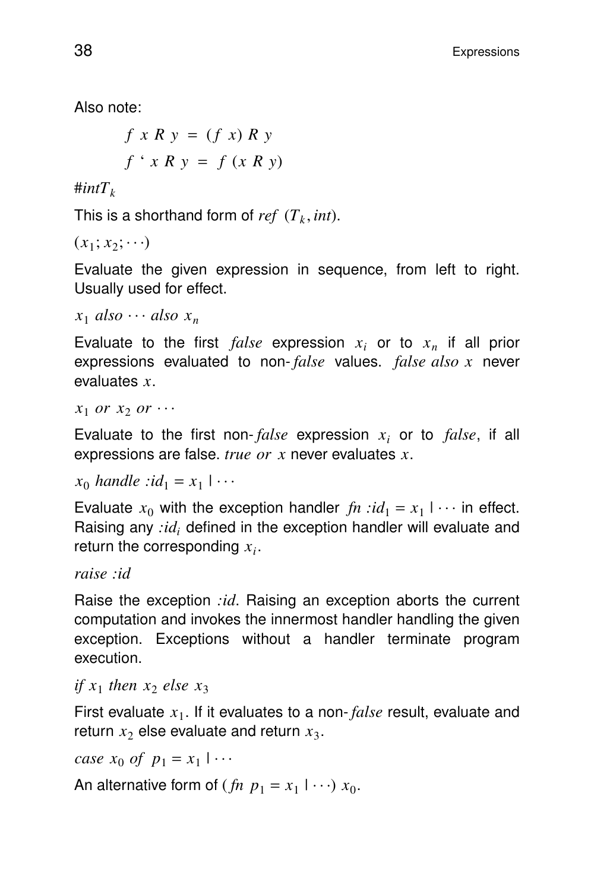Also note:

$$
f x R y = (f x) R y
$$
  

$$
f' x R y = f (x R y)
$$

 $\#intT_k$ 

This is a shorthand form of  $ref$   $(T_k, int)$ .

 $(x_1; x_2; \cdots)$ 

Evaluate the given expression in sequence, from left to right. Usually used for effect.

```
x_1 also \cdots also x_n
```
Evaluate to the first  $false$  expression  $x_i$  or to  $x_n$  if all prior expressions evaluated to non- *false* values. *false also x* never evaluates *x*.

 $x_1$  *or*  $x_2$  *or*  $\cdots$ 

Evaluate to the first non- $false$  expression  $x_i$  or to  $false$ , if all expressions are false. *true or x* never evaluates *x*.

 $x_0$  *handle* :*id*<sub>1</sub> =  $x_1$  | ... |

Evaluate  $x_0$  with the exception handler  $fn$  : $id_1 = x_1 \cup \cdots$  in effect. | Raising any *:id<sup>i</sup>* defined in the exception handler will evaluate and return the corresponding  $x_i$ .

*raise :id*

Raise the exception *:id*. Raising an exception aborts the current computation and invokes the innermost handler handling the given exception. Exceptions without a handler terminate program execution.

*if*  $x_1$  *then*  $x_2$  *else*  $x_3$ 

First evaluate  $x_1$ . If it evaluates to a non- *false* result, evaluate and return  $x_2$  else evaluate and return  $x_3$ .

*case*  $x_0$  *of*  $p_1 = x_1 | \cdots$ |

An alternative form of  $(\text{fn } p_1 = x_1 \mid \cdots) x_0$ . |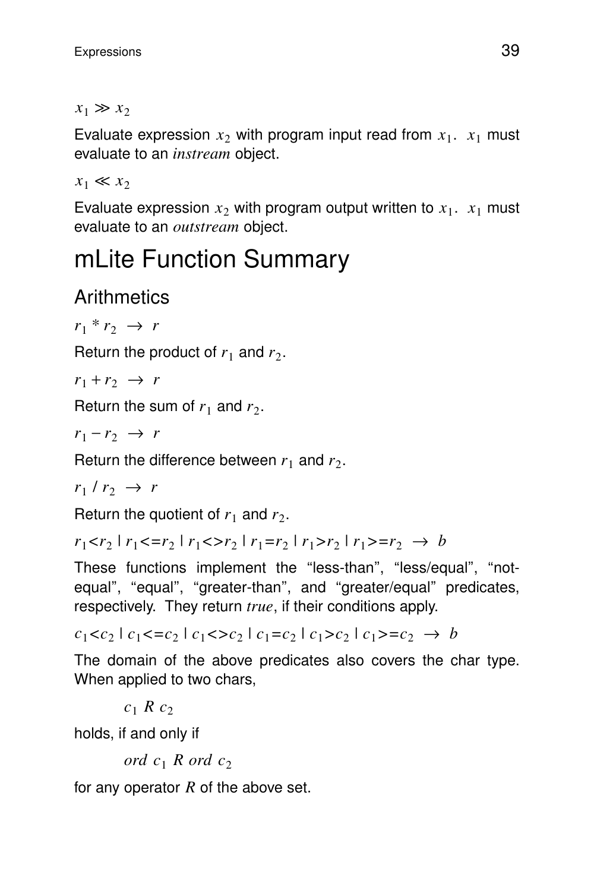#### $x_1 \gg x_2$

Evaluate expression  $x_2$  with program input read from  $x_1$ .  $x_1$  must evaluate to an *instream* object.

 $x_1 \ll x_2$ 

Evaluate expression  $x_2$  with program output written to  $x_1$ .  $x_1$  must evaluate to an *outstream* object.

## mLite Function Summary

### **Arithmetics**

 $r_1 * r_2 \rightarrow r$ 

Return the product of  $r_1$  and  $r_2$ .

 $r_1 + r_2 \rightarrow r$ 

Return the sum of  $r_1$  and  $r_2$ .

 $r_1 - r_2 \rightarrow r$ 

Return the difference between  $r_1$  and  $r_2$ .

 $r_1 \mid r_2 \rightarrow r$ 

Return the quotient of  $r_1$  and  $r_2$ .

 $r_1 < r_2$  |  $r_1 < r_2$  |  $r_1 < r_2$  |  $r_1 = r_2$  |  $r_1 > r_2$  |  $r_1 > r_2 \rightarrow b$ 

These functions implement the "less-than", "less/equal", "notequal", "equal", "greater-than", and "greater/equal" predicates, respectively. They return *true*, if their conditions apply.

 $c_1 < c_2 \mid c_1 < c_2 \mid c_1 < c_2 \mid c_1 = c_2 \mid c_1 > c_2 \mid c_1 > c_2 \rightarrow b$ 

The domain of the above predicates also covers the char type. When applied to two chars,

 $c_1$  *R*  $c_2$ 

holds, if and only if

*ord*  $c_1$  *R ord*  $c_2$ 

for any operator *R* of the above set.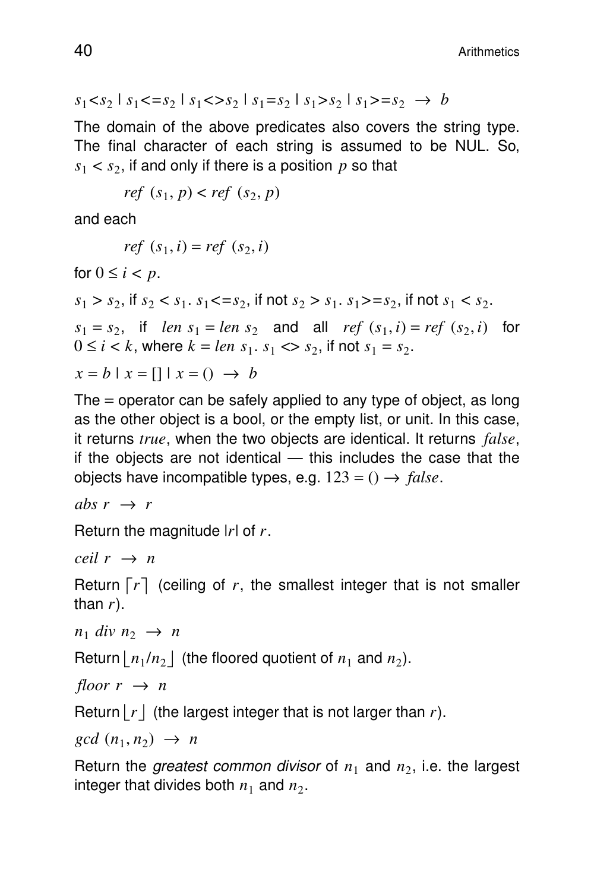$$
s_1 < s_2 \mid s_1 < = s_2 \mid s_1 < > s_2 \mid s_1 = s_2 \mid s_1 > s_2 \mid s_1 > = s_2 \rightarrow b
$$

The domain of the above predicates also covers the string type. The final character of each string is assumed to be NUL. So,  $s_1 < s_2$ , if and only if there is a position  $p$  so that

$$
ref(s_1, p) < ref(s_2, p)
$$

and each

$$
ref(s_1, i) = ref(s_2, i)
$$

for  $0 \leq i < p$ .  $s_1 > s_2$ , if  $s_2 < s_1$ .  $s_1 < = s_2$ , if not  $s_2 > s_1$ .  $s_1 > = s_2$ , if not  $s_1 < s_2$ .  $s_1 = s_2$ , if *len*  $s_1 = len s_2$  and all *ref*  $(s_1, i) = ref (s_2, i)$  for  $0 \le i < k$ , where  $k = len \, s_1 \, s_1 \ll s_2$ , if not  $s_1 = s_2$ .  $x = b | x = [1 | x = () \rightarrow b$ 

The  $=$  operator can be safely applied to any type of object, as long as the other object is a bool, or the empty list, or unit. In this case, it returns *true*, when the two objects are identical. It returns *false*, if the objects are not identical — this includes the case that the objects have incompatible types, e.g.  $123 = () \rightarrow false$ .

 $abs\ r \rightarrow r$ 

Return the magnitude |*r*| of *r*.

 $ceil r \rightarrow n$ 

Return  $\lceil r \rceil$  (ceiling of  $r$ , the smallest integer that is not smaller than  $r$ ).

 $n_1$  *div*  $n_2 \rightarrow n$ 

Return  $\lfloor n_1/n_2 \rfloor$  (the floored quotient of  $n_1$  and  $n_2$ ).

*floor*  $r \rightarrow n$ 

Return  $|r|$  (the largest integer that is not larger than *r*).

 $gcd(n_1, n_2) \rightarrow n$ 

Return the *greatest common divisor* of  $n_1$  and  $n_2$ , i.e. the largest integer that divides both  $n_1$  and  $n_2$ .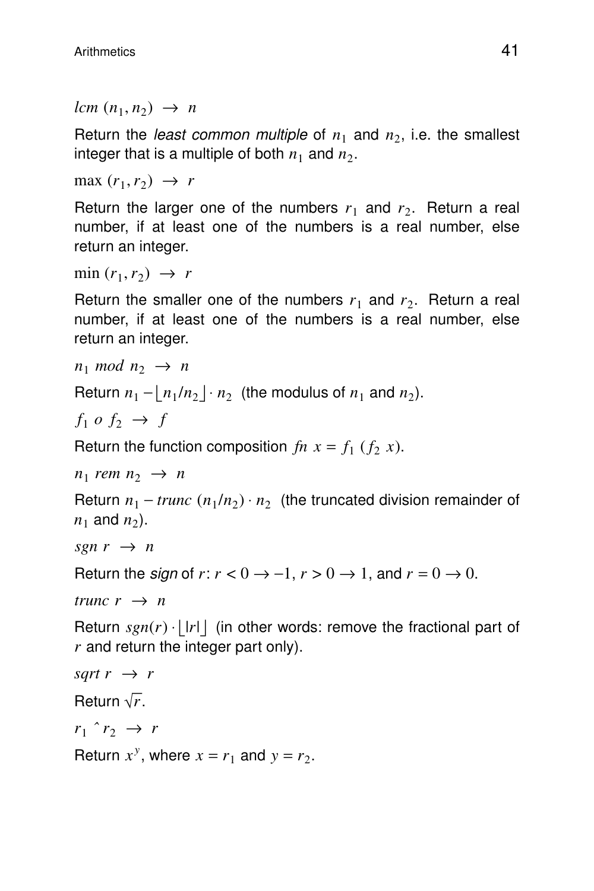$lcm (n_1, n_2) \rightarrow n$ 

Return the *least common multiple* of  $n_1$  and  $n_2$ , i.e. the smallest integer that is a multiple of both  $n_1$  and  $n_2$ .

 $max(r_1, r_2) \rightarrow r$ 

Return the larger one of the numbers  $r_1$  and  $r_2$ . Return a real number, if at least one of the numbers is a real number, else return an integer.

 $\min(r_1, r_2) \rightarrow r$ 

Return the smaller one of the numbers  $r_1$  and  $r_2$ . Return a real number, if at least one of the numbers is a real number, else return an integer.

```
n_1 mod n_2 \rightarrow n
```

```
Return n_1 - \lfloor n_1/n_2 \rfloor \cdot n_2 (the modulus of n_1 and n_2).
```

```
f_1 o f_2 \rightarrow f
```

```
Return the function composition fn x = f_1 (f_2 x).
```

```
n_1 rem n_2 \rightarrow n
```
Return  $n_1 - trunc (n_1/n_2) \cdot n_2$  (the truncated division remainder of  $n_1$  and  $n_2$ ).

```
sgn r \rightarrow n
```

```
Return the sign of r: r < 0 \rightarrow -1, r > 0 \rightarrow 1, and r = 0 \rightarrow 0.
```
*trunc*  $r \rightarrow n$ 

Return  $sgn(r) \cdot |r|$  (in other words: remove the fractional part of *r* and return the integer part only).

```
sart r \rightarrow rReturn \sqrt{r}.
r_1 \hat{r}_2 \rightarrow rReturn x^y, where x = r_1 and y = r_2.
```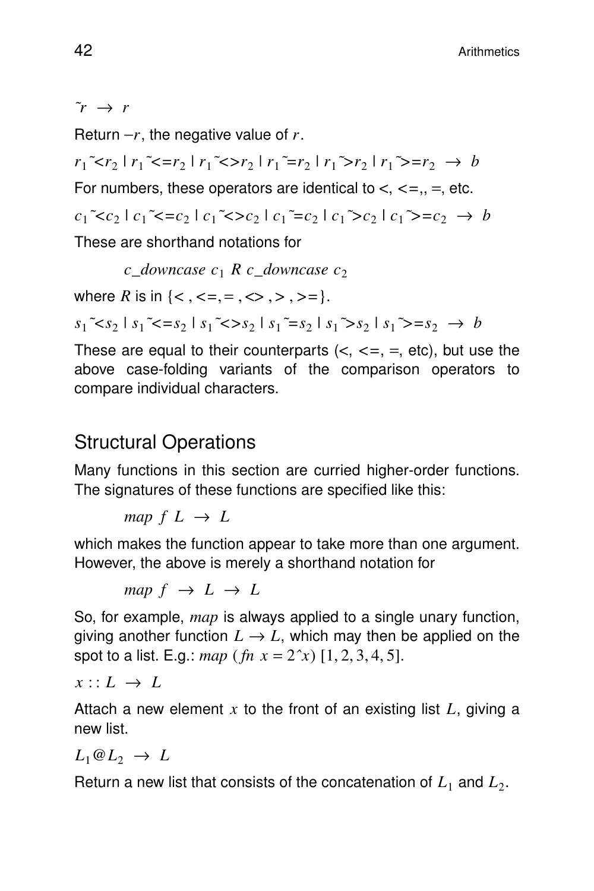$\tilde{r} \rightarrow r$ 

Return  $-r$ , the negative value of *r*.

```
r_1<sup>\sim</sup>\simr_2 \mid r_1<sup>\sim</sup>\simr_2 \mid r_1\simr_2 \mid r_1\simr_2 \mid r_1\sim=r_2 \rightarrow b
```
For numbers, these operators are identical to  $\lt$ ,  $\lt$ =,, =, etc.

 $c_1$ <sup> $\sim$ </sup> $c_2$   $| c_1$ <sup> $\sim$ </sup> $\sim$  $c_2$   $| c_1$  $\sim$  $c_2$   $| c_1$  $\sim$  $c_2$   $| c_1$  $\sim$  $=$  $c_2$   $\rightarrow$  *b* 

These are shorthand notations for

*c downcase*  $c_1$  *R c downcase*  $c_2$ 

where *R* is in  $\{<, \leq, =, \leq, \leq, >, >, =\}.$ 

 $s_1$ <sup> $\sim$ </sup> $s_2$  |  $s_1$ <sup> $\sim$ </sup> $\sim$  $s_2$  |  $s_1$  $\sim$  $s_2$  |  $s_1$  $\sim$  $s_2$  |  $s_1$  $\sim$  $=$  $s_2$   $\rightarrow$  *b* 

These are equal to their counterparts  $(<, < =, =, etc)$ , but use the above case-folding variants of the comparison operators to compare individual characters.

#### **Structural Operations**

Many functions in this section are curried higher-order functions. The signatures of these functions are specified like this:

*map*  $f$   $L \rightarrow L$ 

which makes the function appear to take more than one argument. However, the above is merely a shorthand notation for

*map*  $f \rightarrow L \rightarrow L$ 

So, for example, *map* is always applied to a single unary function, giving another function  $L \rightarrow L$ , which may then be applied on the spot to a list. E.g.: *map* (*fn*  $x = 2^x x$ ) [1, 2, 3, 4, 5].

 $x :: L \rightarrow L$ 

Attach a new element *x* to the front of an existing list *L*, giving a new list.

 $L_1@L_2 \rightarrow L$ 

Return a new list that consists of the concatenation of  $L_1$  and  $L_2$ .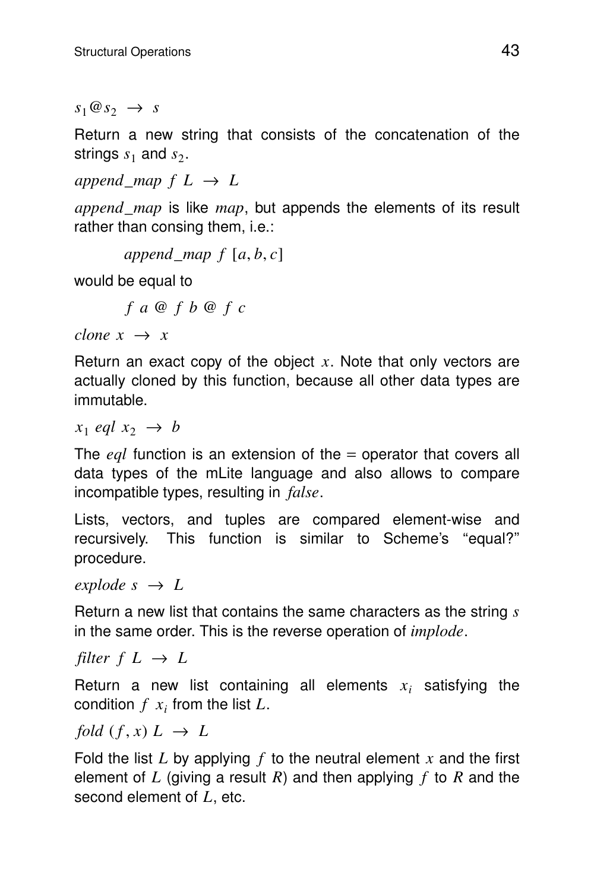$s_1 @ s_2 \rightarrow s$ 

Return a new string that consists of the concatenation of the strings  $s_1$  and  $s_2$ .

*append map*  $f$   $L \rightarrow L$ 

*append*\_*map* is like *map*, but appends the elements of its result rather than consing them, i.e.:

```
append map f [a, b, c]
```
would be equal to

*f a* @ *f b* @ *f c*

*clone*  $x \rightarrow x$ 

Return an exact copy of the object  $x$ . Note that only vectors are actually cloned by this function, because all other data types are immutable.

 $x_1$  *eql*  $x_2 \rightarrow b$ 

The *eql* function is an extension of the = operator that covers all data types of the mLite language and also allows to compare incompatible types, resulting in *false*.

Lists, vectors, and tuples are compared element-wise and recursively. This function is similar to Scheme's ''equal?'' procedure.

 $explode \ s \rightarrow L$ 

Return a new list that contains the same characters as the string *s* in the same order. This is the reverse operation of *implode*.

*filter*  $f$   $L \rightarrow L$ 

Return a new list containing all elements  $x_i$  satisfying the condition  $f(x_i)$  from the list  $L$ .

*fold*  $(f, x) L \rightarrow L$ 

Fold the list *L* by applying *f* to the neutral element *x* and the first element of *L* (giving a result *R*) and then applying *f* to *R* and the second element of *L*, etc.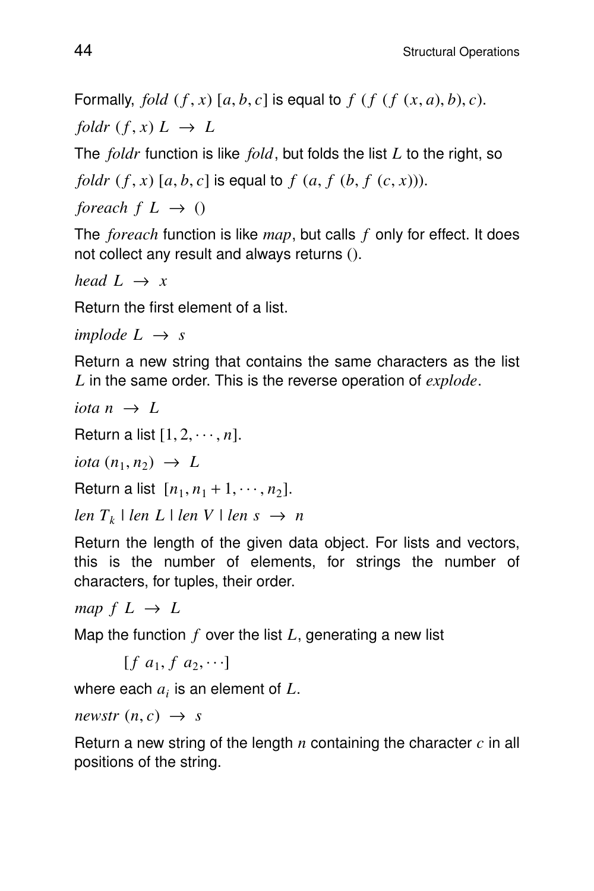Formally, *fold*  $(f, x)$  [a, b, c] is equal to  $f$  ( $f$  ( $f$   $(x, a)$ ,  $b$ ), c). *foldr*  $(f, x) L \rightarrow L$ 

The *foldr* function is like *fold*, but folds the list *L* to the right, so

*foldr*  $(f, x)$  [a, b, c] is equal to  $f$   $(a, f (b, f (c, x)))$ .

*foreach*  $f$   $L \rightarrow$  ()

The *foreach* function is like *map*, but calls *f* only for effect. It does not collect any result and always returns ().

*head*  $L \rightarrow x$ 

Return the first element of a list.

*implode*  $L \rightarrow s$ 

Return a new string that contains the same characters as the list *L* in the same order. This is the reverse operation of *explode*.

*iota*  $n \rightarrow L$ 

Return a list  $[1, 2, \cdots, n]$ .

 $iota (n_1, n_2) \rightarrow L$ 

Return a list  $[n_1, n_1 + 1, \dots, n_2]$ .

 $len T_k$  |  $len L$  |  $len V$  |  $len s \rightarrow n$ 

Return the length of the given data object. For lists and vectors, this is the number of elements, for strings the number of characters, for tuples, their order.

*map*  $f$   $L \rightarrow L$ 

Map the function *f* over the list *L*, generating a new list

```
[f\ a_1, f\ a_2, \cdots]
```
where each  $a_i$  is an element of  $L$ .

 $newstr(n, c) \rightarrow s$ 

Return a new string of the length  $n$  containing the character  $c$  in all positions of the string.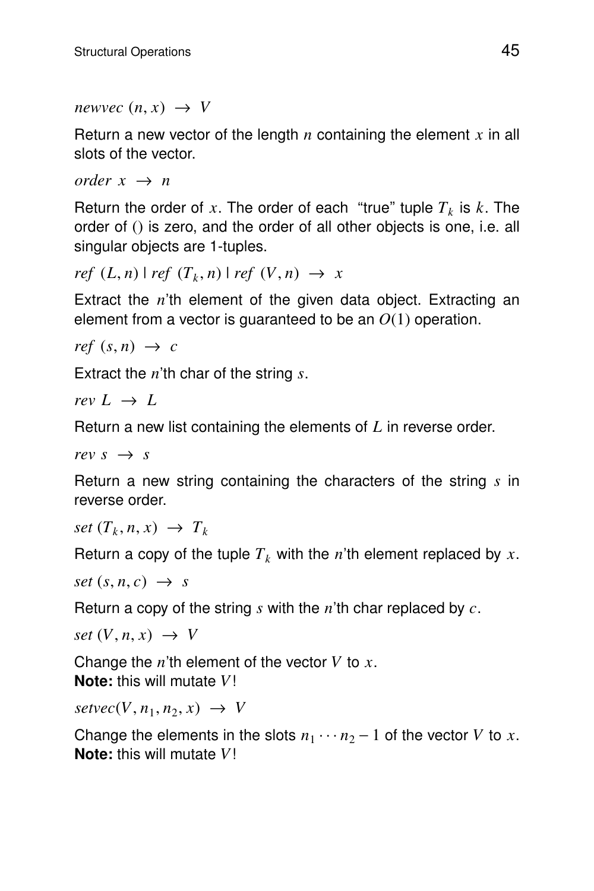*newvec*  $(n, x) \rightarrow V$ 

Return a new vector of the length  $n$  containing the element  $x$  in all slots of the vector.

*order*  $x \rightarrow n$ 

Return the order of x. The order of each "true" tuple  $T_k$  is k. The order of () is zero, and the order of all other objects is one, i.e. all singular objects are 1-tuples.

```
ref(L, n) \mid ref(T_k, n) \mid ref(V, n) \rightarrow x
```
Extract the *n*'th element of the given data object. Extracting an element from a vector is guaranteed to be an *O*(1) operation.

 $ref(s, n) \rightarrow c$ 

Extract the *n*'th char of the string *s*.

*rev*  $L \rightarrow L$ 

Return a new list containing the elements of L in reverse order.

*rev s*  $\rightarrow$  *s* 

Return a new string containing the characters of the string *s* in reverse order.

 $set(T_k, n, x) \rightarrow T_k$ 

Return a copy of the tuple  $T_k$  with the *n*'th element replaced by *x*.

 $set(s, n, c) \rightarrow s$ 

Return a copy of the string *s* with the *n*'th char replaced by *c*.

 $set(V, n, x) \rightarrow V$ 

Change the *n*'th element of the vector *V* to *x*. **Note:** this will mutate *V*!

 $setvec(V, n_1, n_2, x) \rightarrow V$ 

Change the elements in the slots  $n_1 \cdots n_2 - 1$  of the vector *V* to *x*. **Note:** this will mutate *V*!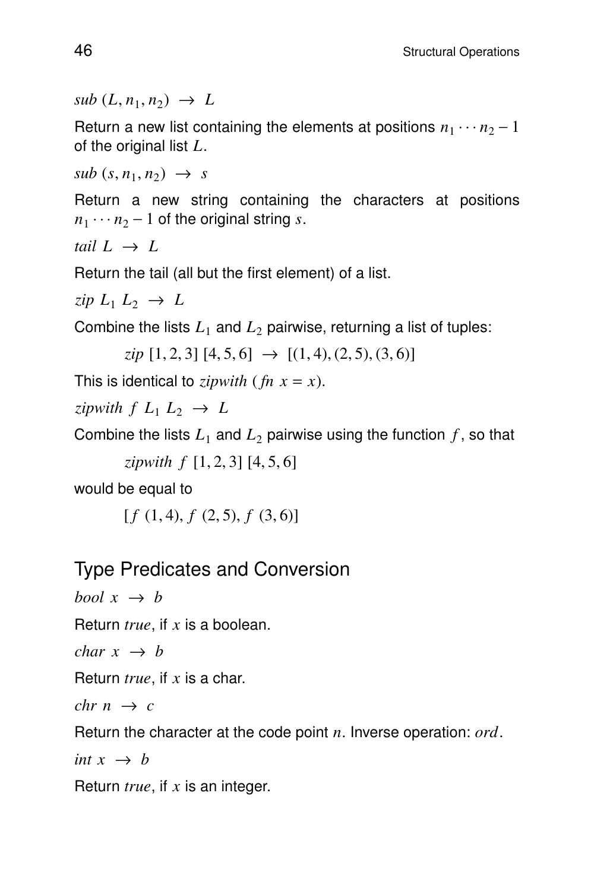$sub(L, n_1, n_2) \rightarrow L$ 

Return a new list containing the elements at positions  $n_1 \cdots n_2 - 1$ of the original list *L*.

 $sub(s, n_1, n_2) \rightarrow s$ 

Return a new string containing the characters at positions  $n_1 \cdots n_2 - 1$  of the original string *s*.

*tail*  $L \rightarrow L$ 

Return the tail (all but the first element) of a list.

 $\zeta$ *ip*  $L_1$   $L_2$   $\rightarrow$   $L$ 

Combine the lists  $L_1$  and  $L_2$  pairwise, returning a list of tuples:

 $zip [1, 2, 3] [4, 5, 6] \rightarrow [(1, 4), (2, 5), (3, 6)]$ 

This is identical to *zipwith* (*fn*  $x = x$ ).

*zipwith*  $f$   $L_1$   $L_2$   $\rightarrow$   $L$ 

Combine the lists  $L_1$  and  $L_2$  pairwise using the function  $f$ , so that

*zipwith f* [1, 2, 3] [4, 5, 6]

would be equal to

 $[f(1,4), f(2,5), f(3,6)]$ 

#### Type Predicates and Conversion

*bool*  $x \rightarrow b$ 

Return *true*, if x is a boolean.

*char*  $x \rightarrow b$ 

Return  $true$ , if  $x$  is a char.

*chr*  $n \rightarrow c$ 

Return the character at the code point *n*. Inverse operation: *ord*.

*int*  $x \rightarrow b$ 

Return *true*, if x is an integer.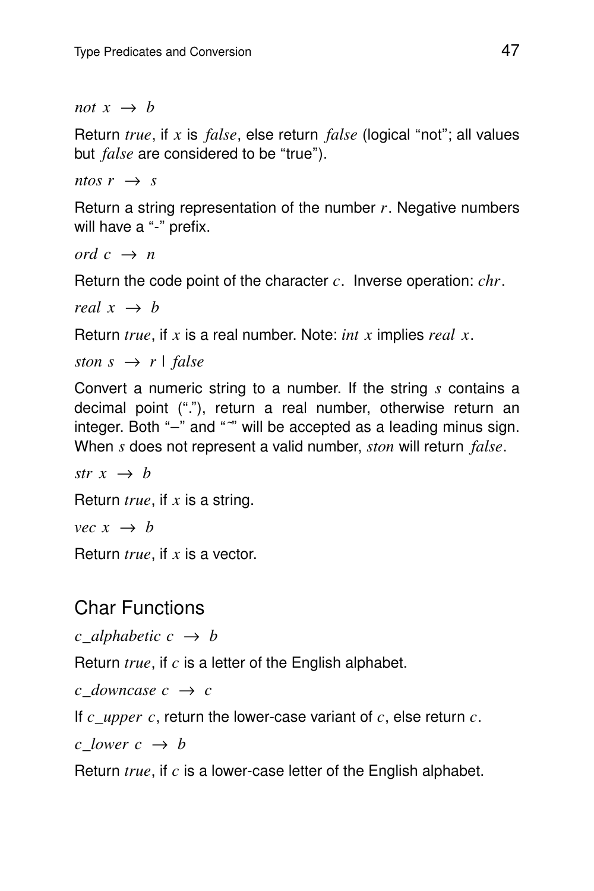*not*  $x \rightarrow b$ 

Return *true*, if x is *false*, else return *false* (logical "not"; all values but *false* are considered to be "true").

*ntos*  $r \rightarrow s$ 

Return a string representation of the number *r*. Negative numbers will have a "-" prefix.

*ord*  $c \rightarrow n$ 

Return the code point of the character  $c$ . Inverse operation:  $chr$ .

*real*  $x \rightarrow b$ 

Return *true*, if x is a real number. Note: *int x* implies *real x*.

*ston*  $s \rightarrow r$  | *false* 

Convert a numeric string to a number. If the string *s* contains a decimal point ("."), return a real number, otherwise return an integer. Both "<sup>-</sup>" and "<sup>2</sup>" will be accepted as a leading minus sign. When *s* does not represent a valid number, *ston* will return *false*.

*str x*  $\rightarrow$  *b* 

Return *true*, if x is a string.

*vec*  $x \rightarrow b$ 

Return *true*, if x is a vector.

#### Char Functions

*c* alphabetic  $c \rightarrow b$ 

Return *true*, if c is a letter of the English alphabet.

*c downcase*  $c \rightarrow c$ 

If  $c\_upper \ c$ , return the lower-case variant of  $c$ , else return  $c$ .

*c lower*  $c \rightarrow b$ 

Return *true*, if c is a lower-case letter of the English alphabet.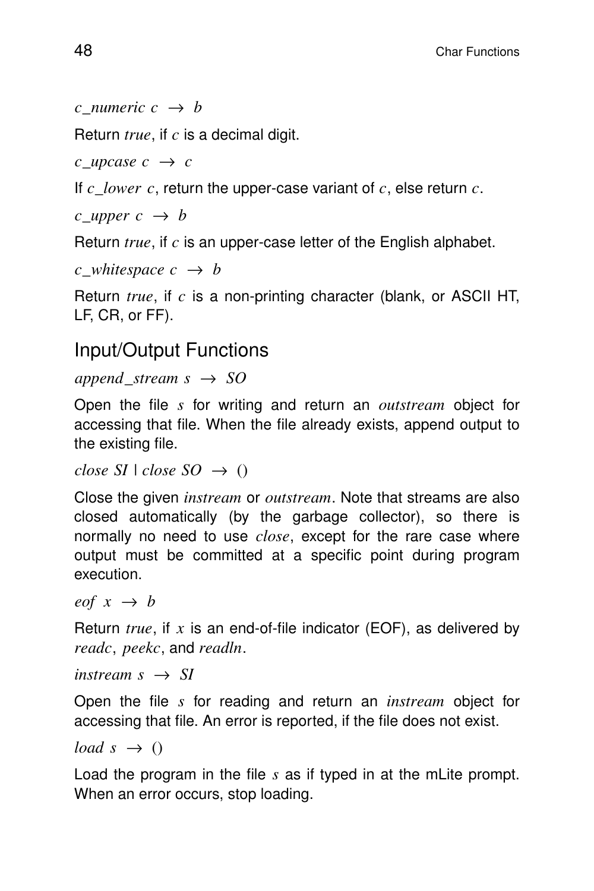```
c numeric c \rightarrow b
```
Return *true*, if c is a decimal digit.

 $c$ \_*upcase*  $c \rightarrow c$ 

If  $c\_lower$  c, return the upper-case variant of  $c$ , else return  $c$ .

 $c$ \_*upper*  $c \rightarrow b$ 

Return  $true$ , if  $c$  is an upper-case letter of the English alphabet.

```
c whitespace c \rightarrow b
```
Return *true*, if c is a non-printing character (blank, or ASCII HT, LF, CR, or FF).

#### Input/Output Functions

#### $append\_stream \ s \rightarrow SO$

Open the file *s* for writing and return an *outstream* object for accessing that file. When the file already exists, append output to the existing file.

*close SI*  $| \text{ close } SO \rightarrow O$ 

Close the given *instream* or *outstream*. Note that streams are also closed automatically (by the garbage collector), so there is normally no need to use *close*, except for the rare case where output must be committed at a specific point during program execution.

*eof*  $x \rightarrow b$ 

Return  $true$ , if  $x$  is an end-of-file indicator (EOF), as delivered by *readc*, *peekc*, and *readln*.

 $\text{instream } s \rightarrow SI$ 

Open the file *s* for reading and return an *instream* object for accessing that file. An error is reported, if the file does not exist.

*load*  $s \rightarrow 0$ 

Load the program in the file *s* as if typed in at the mLite prompt. When an error occurs, stop loading.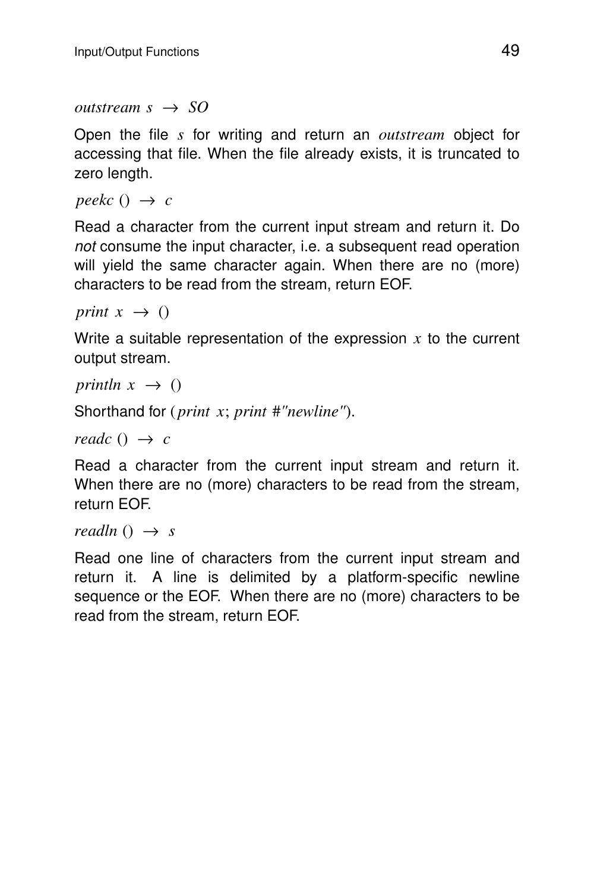$outstream s \rightarrow SO$ 

Open the file *s* for writing and return an *outstream* object for accessing that file. When the file already exists, it is truncated to zero length.

*peekc*  $() \rightarrow c$ 

Read a character from the current input stream and return it. Do not consume the input character, i.e. a subsequent read operation will yield the same character again. When there are no (more) characters to be read from the stream, return EOF.

*print*  $x \rightarrow ()$ 

Write a suitable representation of the expression  $x$  to the current output stream.

*println*  $x \rightarrow 0$ 

Shor thand for ( *print x*; *print* #*"newline"*).

*readc*  $() \rightarrow c$ 

Read a character from the current input stream and return it. When there are no (more) characters to be read from the stream, return EOF.

*readln*  $() \rightarrow s$ 

Read one line of characters from the current input stream and return it. A line is delimited by a platform-specific newline sequence or the EOF. When there are no (more) characters to be read from the stream, return EOF.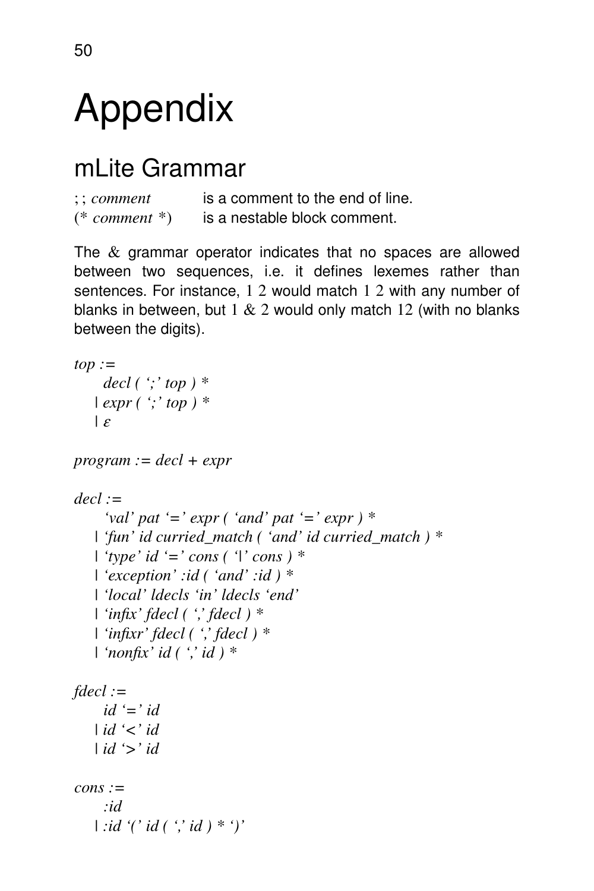## Appendix

## mLite Grammar

| $\therefore$ comment | is a comment to the end of line. |
|----------------------|----------------------------------|
| $(*$ comment $*)$    | is a nestable block comment.     |

The  $&$  grammar operator indicates that no spaces are allowed between two sequences, i.e. it defines lexemes rather than sentences. For instance, 1 2 would match 1 2 with any number of blanks in between, but  $1 & 2$  would only match  $12$  (with no blanks between the digits).

```
top :=
    decl ( ';' top ) *
   | expr ( ';' top ) *
   | ε
program := decl + expr
decl :=
     'val' pat '=' expr ( 'and' pat '=' expr ) *
   | 'fun' id curried_match('and' id curried_match)*
   | 'type' id '=' cons ( '|' cons ) *
   | 'exception' :id ( 'and' :id ) *
   | 'local' ldecls 'in' ldecls 'end'
   | 'infix' fdecl ( ',' fdecl ) *
   | 'infixr' fdecl ( ',' fdecl ) *
   | 'nonfix' id ( ',' id ) *
fdecl :=
    id '=' id
   | id '<' id
   | id '>' id
cons :=
    :id
   | :id '(' id ( ',' id ) * ')'
```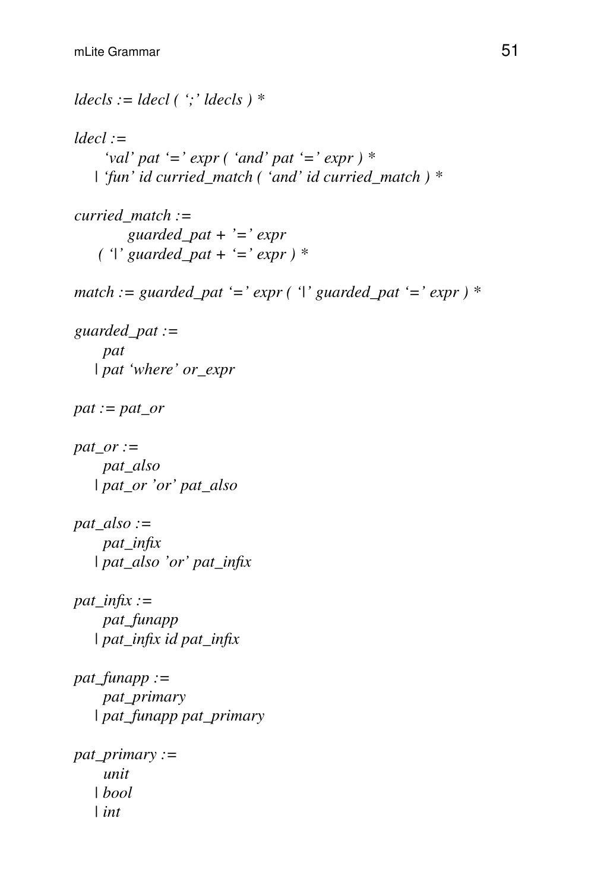```
ldecls := ldecl ( ';' ldecls ) *
ldecl :=
    'val' pat '=' expr ( 'and' pat '=' expr ) *
   | 'fun' id curried_match('and' id curried_match)*
curried_match :=
        guarded_pat + '=' expr
   ( '|' guarded_pat + '=' expr ) *
match := guarded_pat '=' expr ( '|' guarded_pat '=' expr ) *
guarded_pat :=
    pat
   | pat 'where' or_expr
pat := pat_or
pat_or :=
    pat_also
   | pat_or 'or' pat_also
pat_also :=
    pat_infix
   | pat_also 'or' pat_infix
pat_infix :=
    pat_funapp
   | pat_infix id pat_infix
pat_funapp :=
    pat_primary
   | pat_funapp pat_primary
pat_primary :=
    unit
   | bool
   | int
```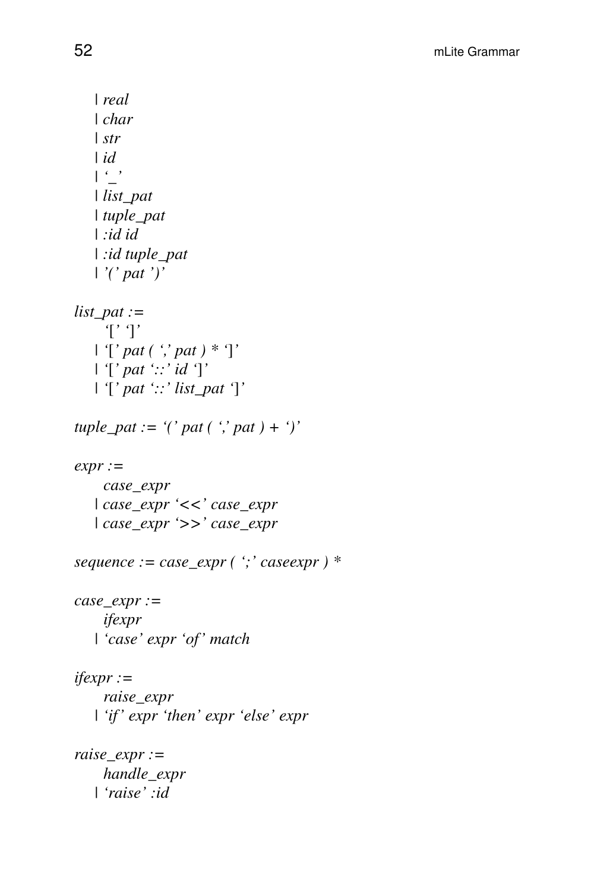*| real | char | str | id | '\_' | list\_pat | tuple\_pat | :id id | :id tuple\_pat | '(' pat ')' list\_pat := '*[*' '*]*' | '*[*' pat ( ',' pat ) \* '*]*' | '*[*' pat '::' id '*]*' | '*[*' pat '::' list\_pat '*]*' tuple\_pat := '(' pat (',' pat ) + ')' expr := case\_expr | case\_expr '<<' case\_expr | case\_expr '>>' case\_expr sequence := case\_expr ( ';' caseexpr ) \* case\_expr := ifexpr | 'case' expr 'of' match ifexpr := raise\_expr | 'if ' expr 'then' expr 'else' expr raise\_expr := handle\_expr | 'raise' :id*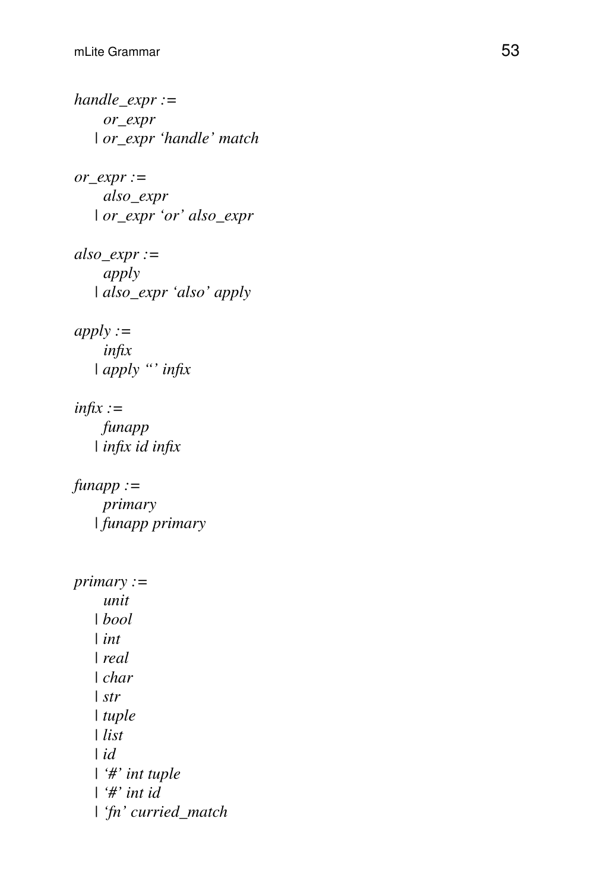```
handle_expr :=
    or_expr
   | or_expr 'handle' match
or_expr :=
    also_expr
   | or_expr 'or' also_expr
```
*also\_expr := apply | also\_expr 'also' apply*

*apply := infix | apply ''' infix*

*infix := funapp | infix id infix*

*funapp := primary | funapp primary*

```
primary :=
    unit
   | bool
   | int
   | real
   | char
   | str
   | tuple
   | list
   | i
d
   | '#' int tuple
   | '#' int id
   | 'fn' curried_match
```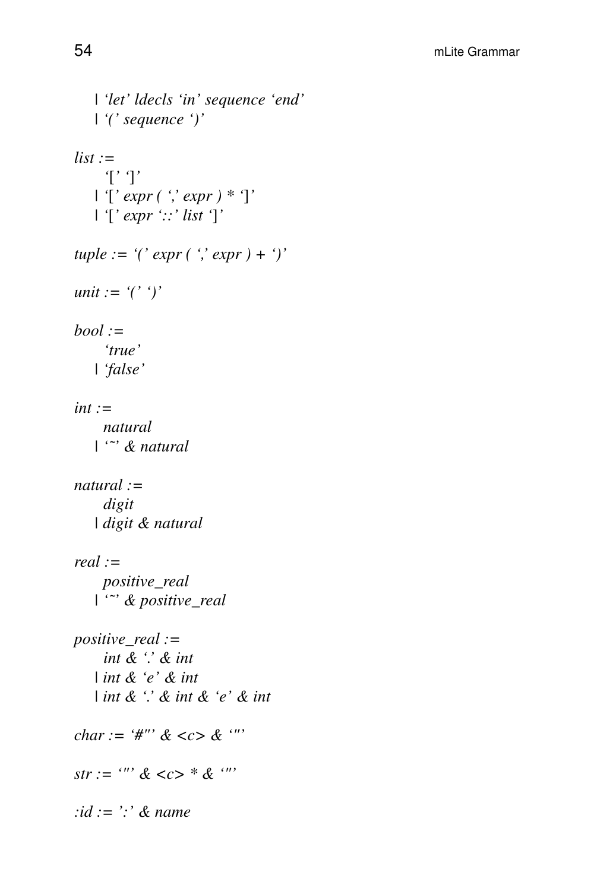```
| 'let' ldecls 'in' sequence 'end'
   | '(' sequence ')'
list :=
    '[' ']'
   | '[' expr ( ',' expr ) * ']'
   | '[' expr '::' list ']'
tuple := '(' expr ( ',' expr ) + ')'
unit := '(' ')'
bool :=
    'true'
   | 'false'
int :=
    natural
   | '˜' & natural
natural :=
    digit
   | digit & natural
real :=
    positive_real
   | '˜' & positive_real
positive_real :=
    int & '.'&int
   | int & 'e' & int
   | int & '.'&int & 'e' & int
char := '#"' & <c> & '"'
str := '''' \< c * & ''':id := ':' & name
```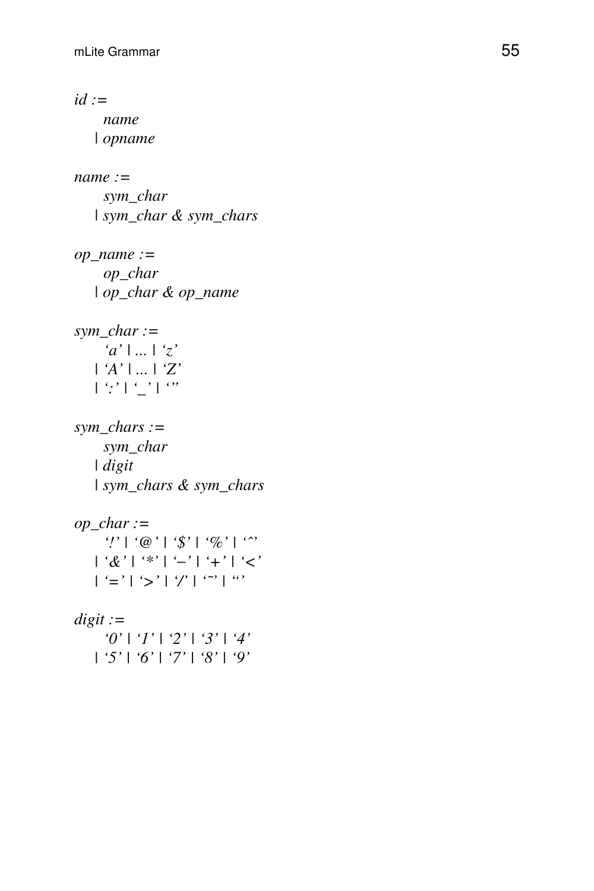*id := name | opname name := sym\_char | sym\_char & sym\_chars op\_name := op\_char | op\_char & op\_name sym\_char := 'a' | ... | 'z' | 'A' | ... | 'Z'*  $| \cdot | \cdot' | \cdot' |$  <sup>o</sup>' *sym\_chars : = sym\_char | digit | sym\_chars&sym\_chars op\_char := '!' | '@' | '\$' | '%' | 'ˆ' | '&' | '\*' | '* −*'|'+' | '<'*  $|f' = f' | f' > f' | f'' | f''' | f'''$ *digit := '0' | '1' | '2' | '3' | '4' | '5' | '6' | '7' | '8' | '9'*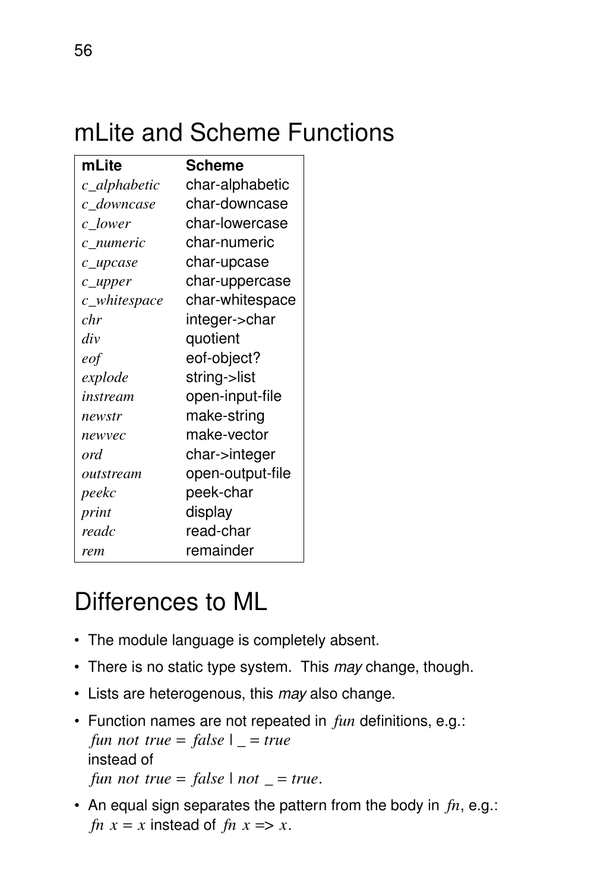## mLite and Scheme Functions

| mLite        | Scheme           |
|--------------|------------------|
| c_alphabetic | char-alphabetic  |
| c_downcase   | char-downcase    |
| c_lower      | char-lowercase   |
| c numeric    | char-numeric     |
| c_upcase     | char-upcase      |
| $c$ _upper   | char-uppercase   |
| c_whitespace | char-whitespace  |
| chr          | integer->char    |
| div          | quotient         |
| eof          | eof-object?      |
| explode      | string->list     |
| instream     | open-input-file  |
| newstr       | make-string      |
| newvec       | make-vector      |
| ord          | char->integer    |
| outstream    | open-output-file |
| peekc        | peek-char        |
| print        | display          |
| readc        | read-char        |
| rem          | remainder        |

## Differences to ML

- The module language is completely absent.
- There is no static type system. This may change, though.
- Lists are heterogenous, this may also change.
- Function names are not repeated in *fun* definitions, e.g.: *fun not true* = *false*  $\vert$  \_ = *true* instead of *fun not true* = *false*  $| not = true$ .
- An equal sign separates the pattern from the body in *fn*, e.g.: *fn*  $x = x$  instead of *fn*  $x \Rightarrow x$ .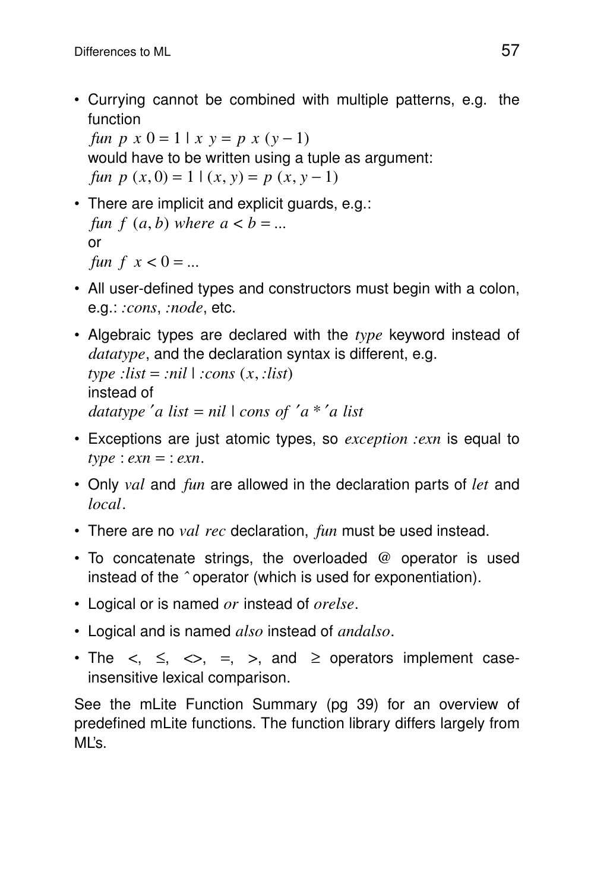• Currying cannot be combined with multiple patterns, e.g. the function

*fun p*  $x = 0 = 1 | x = p x (y - 1)$ would have to be written using a tuple as argument: *fun*  $p(x, 0) = 1 | (x, y) = p(x, y - 1)$ 

- There are implicit and explicit guards, e.g.: *fun*  $f(a, b)$  *where*  $a < b = ...$ or *fun*  $f \, x < 0 = \dots$
- All user-defined types and constructors must begin with a colon, e.g.: *:cons*, *:node*, etc.
- Algebraic types are declared with the *type* keyword instead of *datatype*, and the declaration syntax is different, e.g.  $type$  :*list* = :*nil*  $|$  :*cons*  $(x, :list)$

```
instead of
datatype ′a list = nil | cons of ′a * ′a list
```
- Exceptions are just atomic types, so *exception :exn* is equal to  $type : exam = :exn$ .
- Only *val* and *fun* are allowed in the declaration parts of *let* and *local*.
- There are no *val rec* declaration, *fun* must be used instead.
- To concatenate strings, the overloaded @ operator is used instead of the *ˆ* operator (which is used for exponentiation).
- Logical or is named *or* instead of *orelse*.
- Logical and is named *also* instead of *andalso*.
- The  $\lt$ ,  $\leq$ ,  $\lt$ ,  $\lt$ ,  $\lt$ ,  $\lt$ , and  $\geq$  operators implement caseinsensitive lexical comparison.

See the mLite Function Summary (pg 39) for an overview of predefined mLite functions. The function library differs largely from  $M'$ s.